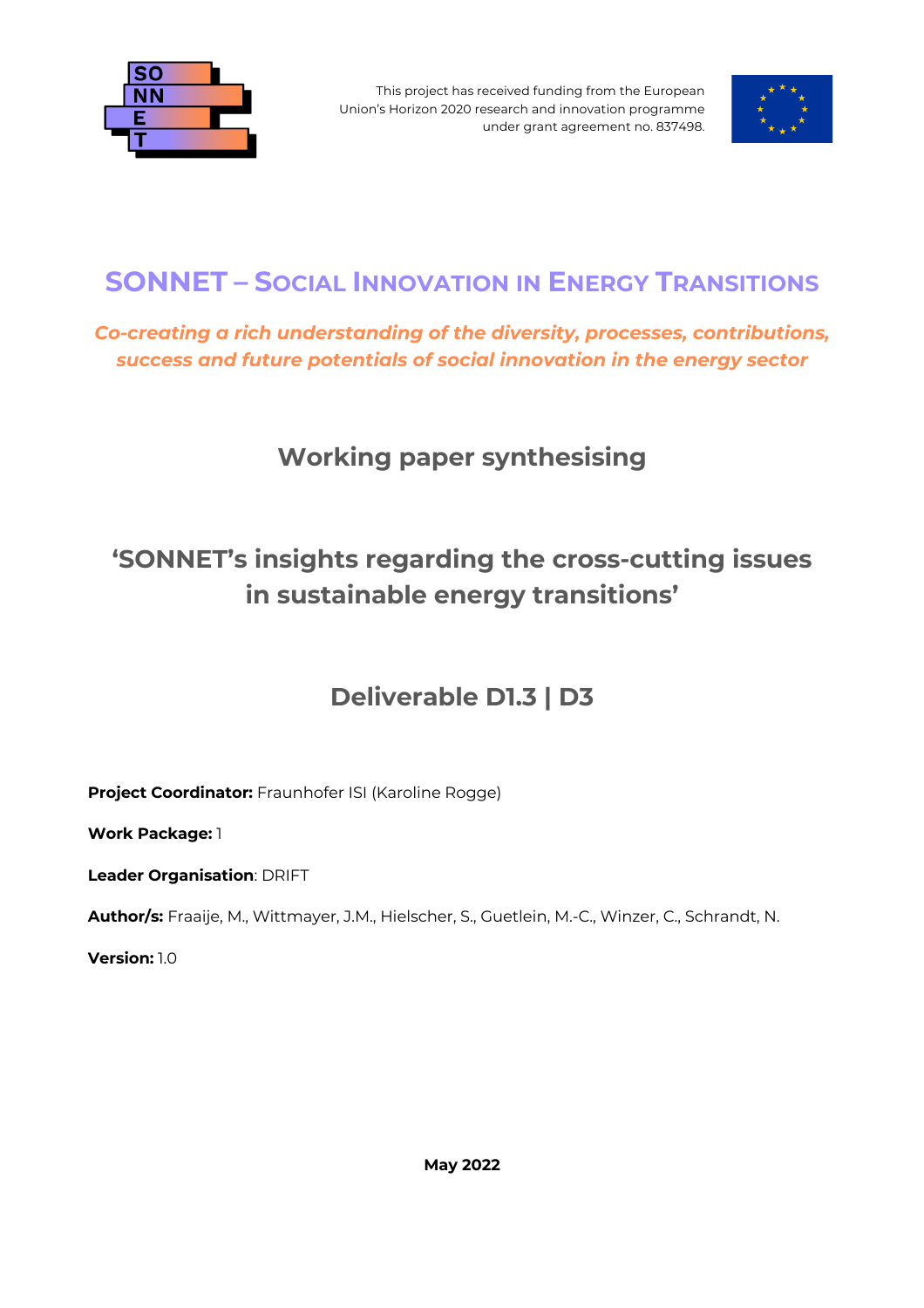

This project has received funding from the European Union's Horizon 2020 research and innovation programme under grant agreement no. 837498.



### **SONNET – SOCIAL INNOVATION IN ENERGY TRANSITIONS**

*Co-creating a rich understanding of the diversity, processes, contributions, success and future potentials of social innovation in the energy sector*

### **Working paper synthesising**

# **'SONNET's insights regarding the cross-cutting issues in sustainable energy transitions'**

### **Deliverable D1.3 | D3**

**Project Coordinator:** Fraunhofer ISI (Karoline Rogge)

**Work Package:** 1

**Leader Organisation**: DRIFT

**Author/s:** Fraaije, M., Wittmayer, J.M., Hielscher, S., Guetlein, M.-C., Winzer, C., Schrandt, N.

**Version:** 1.0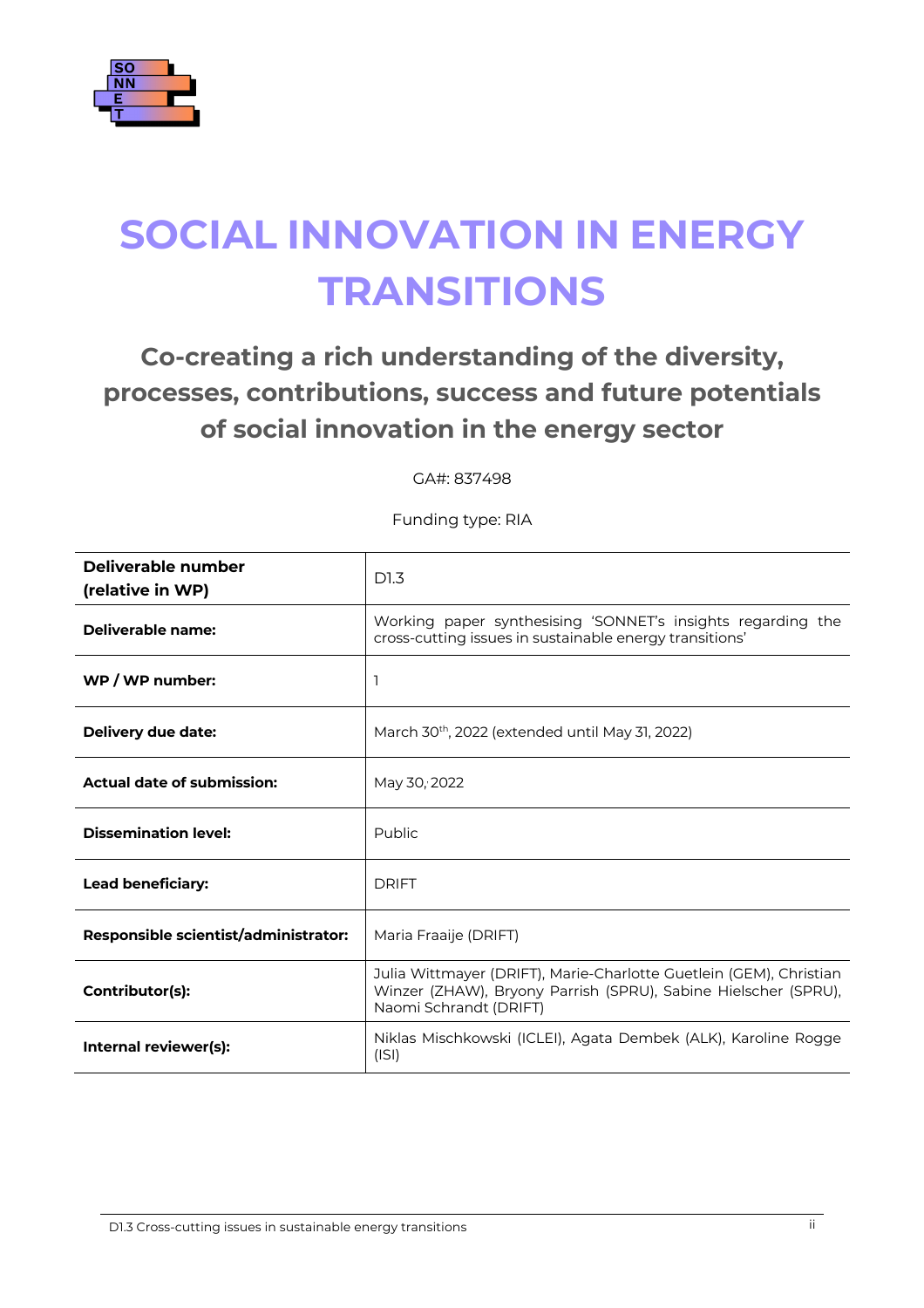

# **SOCIAL INNOVATION IN ENERGY TRANSITIONS**

# **Co-creating a rich understanding of the diversity, processes, contributions, success and future potentials of social innovation in the energy sector**

GA#: 837498

Funding type: RIA

| Deliverable number<br>(relative in WP) | D1.3                                                                                                                                                           |
|----------------------------------------|----------------------------------------------------------------------------------------------------------------------------------------------------------------|
| Deliverable name:                      | Working paper synthesising 'SONNET's insights regarding the<br>cross-cutting issues in sustainable energy transitions'                                         |
| WP / WP number:                        | 1                                                                                                                                                              |
| Delivery due date:                     | March 30th, 2022 (extended until May 31, 2022)                                                                                                                 |
| <b>Actual date of submission:</b>      | May 30, 2022                                                                                                                                                   |
| <b>Dissemination level:</b>            | Public                                                                                                                                                         |
| <b>Lead beneficiary:</b>               | <b>DRIFT</b>                                                                                                                                                   |
| Responsible scientist/administrator:   | Maria Fraaije (DRIFT)                                                                                                                                          |
| Contributor(s):                        | Julia Wittmayer (DRIFT), Marie-Charlotte Guetlein (GEM), Christian<br>Winzer (ZHAW), Bryony Parrish (SPRU), Sabine Hielscher (SPRU),<br>Naomi Schrandt (DRIFT) |
| Internal reviewer(s):                  | Niklas Mischkowski (ICLEI), Agata Dembek (ALK), Karoline Rogge<br>(ISI)                                                                                        |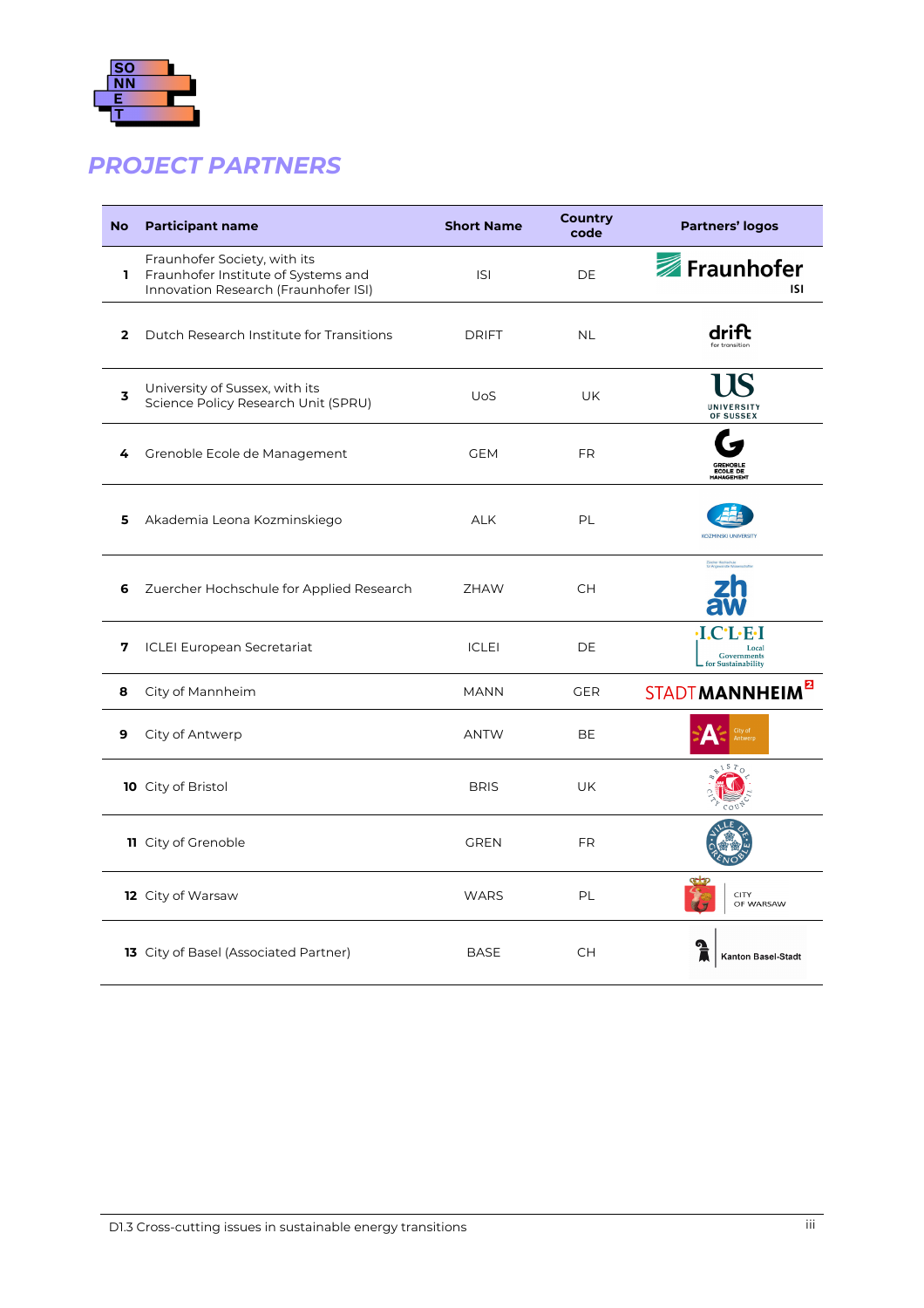

### *PROJECT PARTNERS*

| <b>No</b>    | <b>Participant name</b>                                                                                     | <b>Short Name</b> | <b>Country</b><br>code | <b>Partners' logos</b>                                                                         |
|--------------|-------------------------------------------------------------------------------------------------------------|-------------------|------------------------|------------------------------------------------------------------------------------------------|
| L            | Fraunhofer Society, with its<br>Fraunhofer Institute of Systems and<br>Innovation Research (Fraunhofer ISI) | <b>ISI</b>        | DE                     | Fraunhofer<br>ISI                                                                              |
| $\mathbf{2}$ | Dutch Research Institute for Transitions                                                                    | <b>DRIFT</b>      | <b>NL</b>              | drift                                                                                          |
| 3            | University of Sussex, with its<br>Science Policy Research Unit (SPRU)                                       | <b>UoS</b>        | UK                     | UNIVERSITY<br>OF SUSSEX                                                                        |
| 4            | Grenoble Ecole de Management                                                                                | <b>GEM</b>        | <b>FR</b>              | ECOLE DE<br>MANAGEMENT                                                                         |
| 5            | Akademia Leona Kozminskiego                                                                                 | <b>ALK</b>        | PL                     | KOZMINSKI UNIVERSITY                                                                           |
| 6            | Zuercher Hochschule for Applied Research                                                                    | <b>ZHAW</b>       | <b>CH</b>              |                                                                                                |
| 7            | <b>ICLEI European Secretariat</b>                                                                           | <b>ICLEI</b>      | DE                     | $\cdot$ I.C $\cdot$ L $\cdot$ E $\cdot$ I<br>Local<br><b>Governments</b><br>for Sustainability |
| 8            | City of Mannheim                                                                                            | <b>MANN</b>       | <b>GER</b>             | STADT MANNHEIM <sup>E</sup>                                                                    |
| 9            | City of Antwerp                                                                                             | <b>ANTW</b>       | <b>BE</b>              |                                                                                                |
|              | 10 City of Bristol                                                                                          | <b>BRIS</b>       | <b>UK</b>              |                                                                                                |
|              | <b>11</b> City of Grenoble                                                                                  | <b>GREN</b>       | <b>FR</b>              |                                                                                                |
|              | <b>12</b> City of Warsaw                                                                                    | <b>WARS</b>       | PL                     | CITY<br>OF WARSAW                                                                              |
|              | 13 City of Basel (Associated Partner)                                                                       | <b>BASE</b>       | <b>CH</b>              | <b>Kanton Basel-Stadt</b>                                                                      |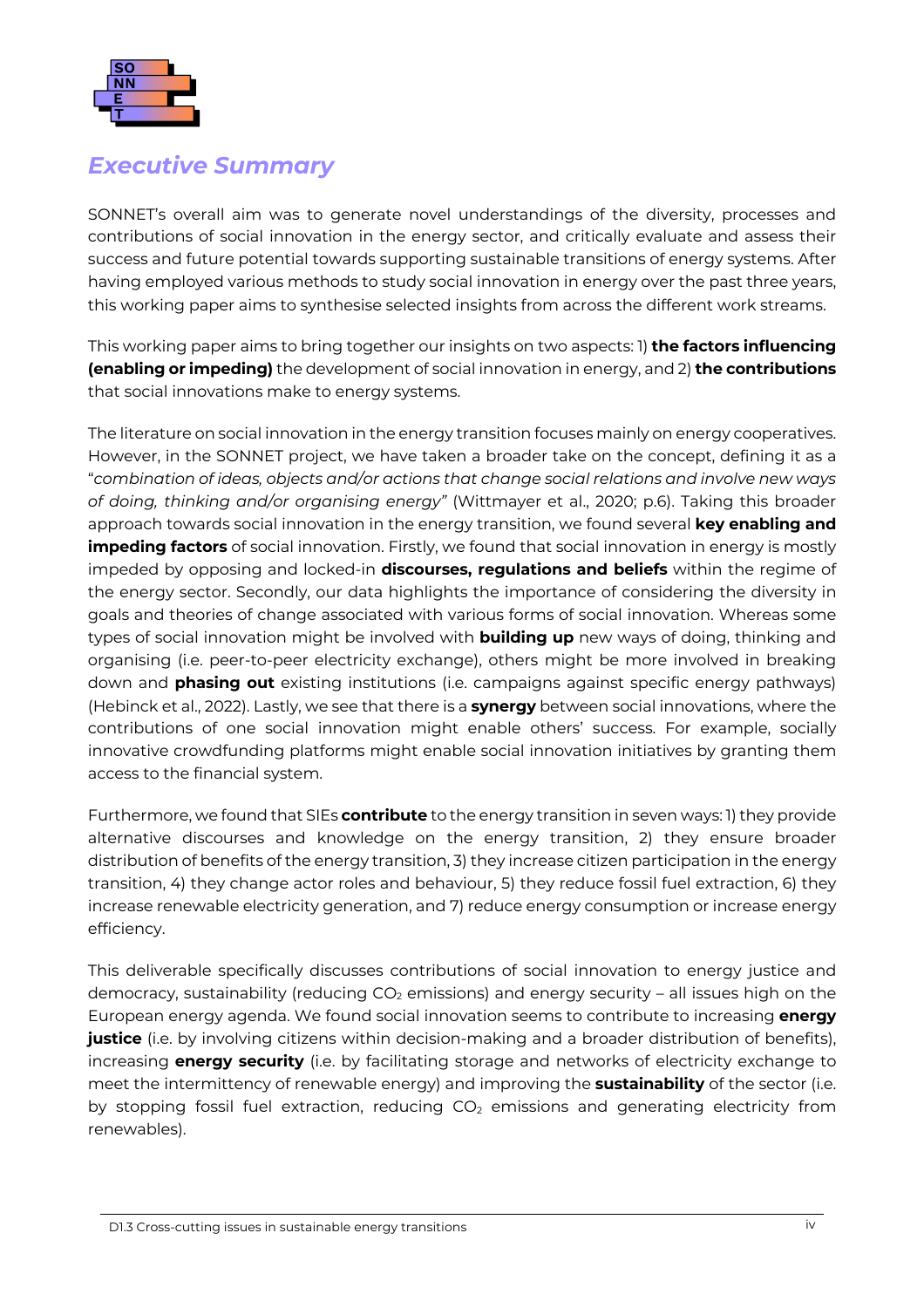

#### *Executive Summary*

SONNET's overall aim was to generate novel understandings of the diversity, processes and contributions of social innovation in the energy sector, and critically evaluate and assess their success and future potential towards supporting sustainable transitions of energy systems. After having employed various methods to study social innovation in energy over the past three years, this working paper aims to synthesise selected insights from across the different work streams.

This working paper aims to bring together our insights on two aspects: 1) **the factors influencing (enabling or impeding)** the development of social innovation in energy, and 2) **the contributions**  that social innovations make to energy systems.

The literature on social innovation in the energy transition focuses mainly on energy cooperatives. However, in the SONNET project, we have taken a broader take on the concept, defining it as a "*combination of ideas, objects and/or actions that change social relations and involve new ways of doing, thinking and/or organising energy"* (Wittmayer et al., 2020; p.6). Taking this broader approach towards social innovation in the energy transition, we found several **key enabling and impeding factors** of social innovation. Firstly, we found that social innovation in energy is mostly impeded by opposing and locked-in **discourses, regulations and beliefs** within the regime of the energy sector. Secondly, our data highlights the importance of considering the diversity in goals and theories of change associated with various forms of social innovation. Whereas some types of social innovation might be involved with **building up** new ways of doing, thinking and organising (i.e. peer-to-peer electricity exchange), others might be more involved in breaking down and **phasing out** existing institutions (i.e. campaigns against specific energy pathways) (Hebinck et al., 2022). Lastly, we see that there is a **synergy** between social innovations, where the contributions of one social innovation might enable others' success. For example, socially innovative crowdfunding platforms might enable social innovation initiatives by granting them access to the financial system.

Furthermore, we found that SIEs **contribute** to the energy transition in seven ways: 1) they provide alternative discourses and knowledge on the energy transition, 2) they ensure broader distribution of benefits of the energy transition, 3) they increase citizen participation in the energy transition, 4) they change actor roles and behaviour, 5) they reduce fossil fuel extraction, 6) they increase renewable electricity generation, and 7) reduce energy consumption or increase energy efficiency.

This deliverable specifically discusses contributions of social innovation to energy justice and democracy, sustainability (reducing  $CO<sub>2</sub>$  emissions) and energy security – all issues high on the European energy agenda. We found social innovation seems to contribute to increasing **energy justice** (i.e. by involving citizens within decision-making and a broader distribution of benefits), increasing **energy security** (i.e. by facilitating storage and networks of electricity exchange to meet the intermittency of renewable energy) and improving the **sustainability** of the sector (i.e. by stopping fossil fuel extraction, reducing  $CO<sub>2</sub>$  emissions and generating electricity from renewables).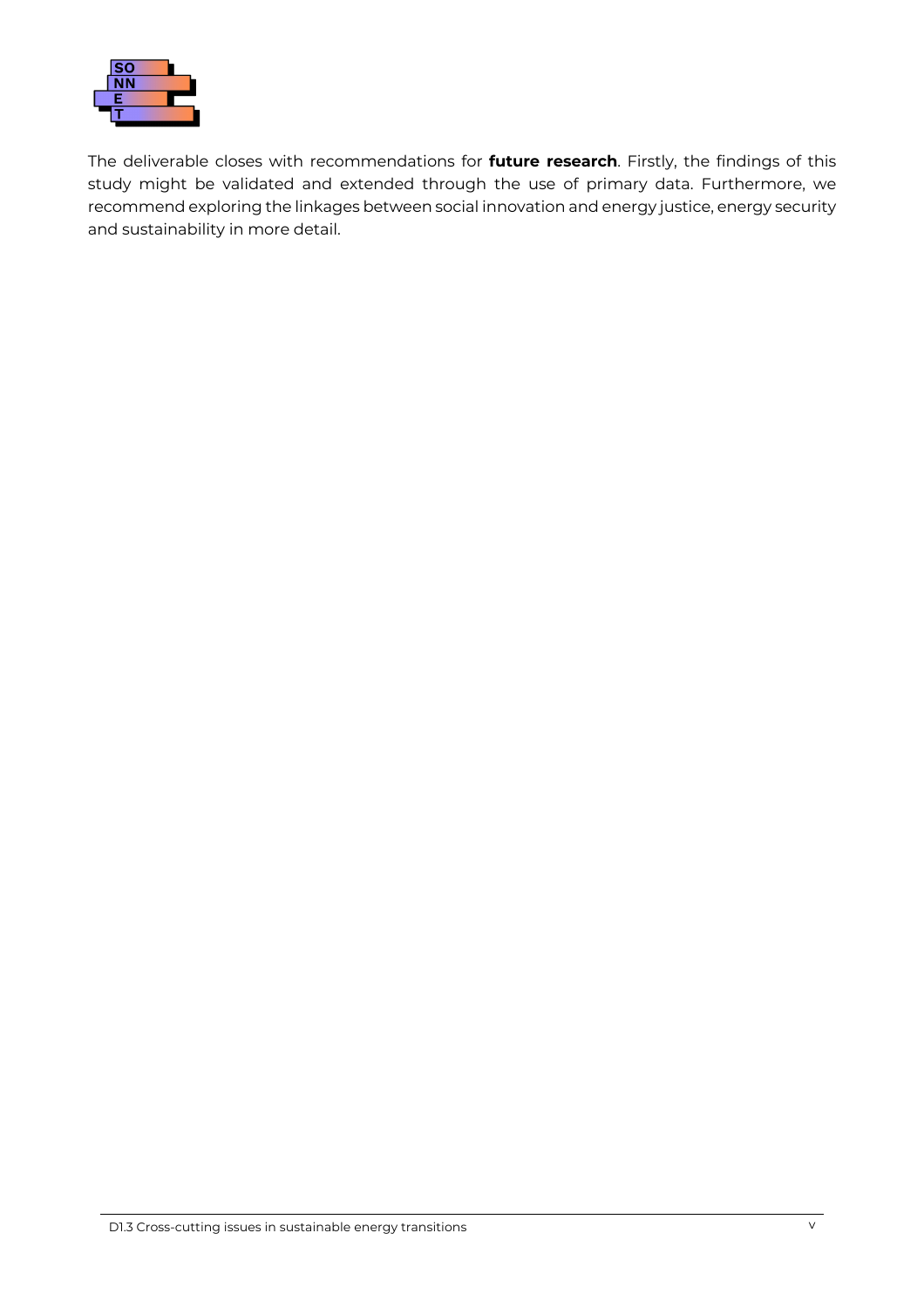

The deliverable closes with recommendations for **future research**. Firstly, the findings of this study might be validated and extended through the use of primary data. Furthermore, we recommend exploring the linkages between social innovation and energy justice, energy security and sustainability in more detail.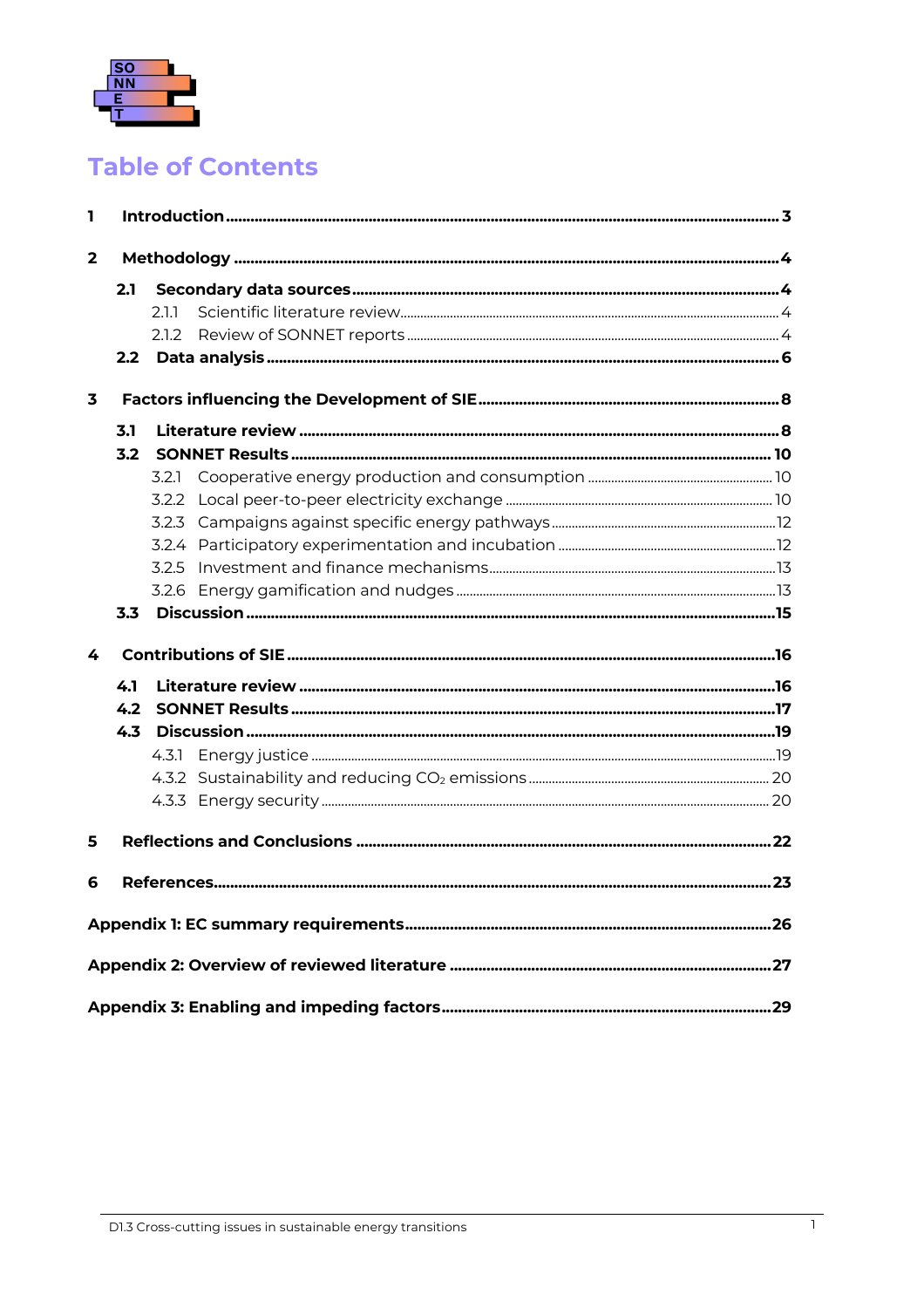

### **Table of Contents**

| L   |     |       |  |
|-----|-----|-------|--|
| 2   |     |       |  |
|     | 2.1 |       |  |
|     |     | 211   |  |
|     |     | 2.1.2 |  |
|     |     |       |  |
| 3   |     |       |  |
| 3.1 |     |       |  |
|     | 3.2 |       |  |
|     |     |       |  |
|     |     |       |  |
|     |     |       |  |
|     |     |       |  |
|     |     |       |  |
|     |     |       |  |
|     | 3.3 |       |  |
| 4   |     |       |  |
|     | 4.1 |       |  |
|     | 4.2 |       |  |
|     | 4.3 |       |  |
|     |     |       |  |
|     |     |       |  |
|     |     |       |  |
| 5   |     |       |  |
| 6   |     |       |  |
|     |     |       |  |
|     |     |       |  |
|     |     |       |  |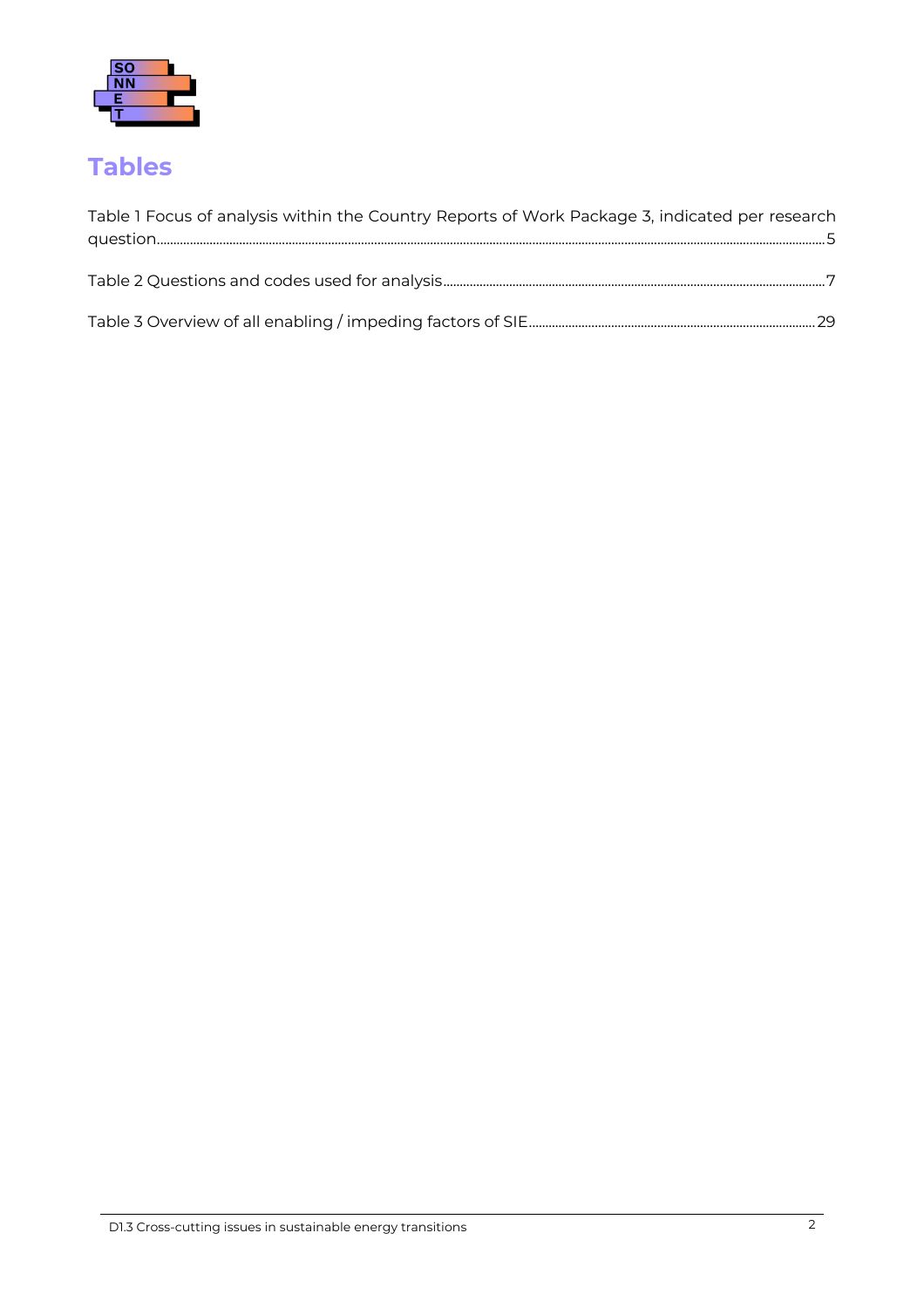

### **[Tables](#page-33-0)**

| Table 1 Focus of analysis within the Country Reports of Work Package 3, indicated per research |
|------------------------------------------------------------------------------------------------|
|                                                                                                |
|                                                                                                |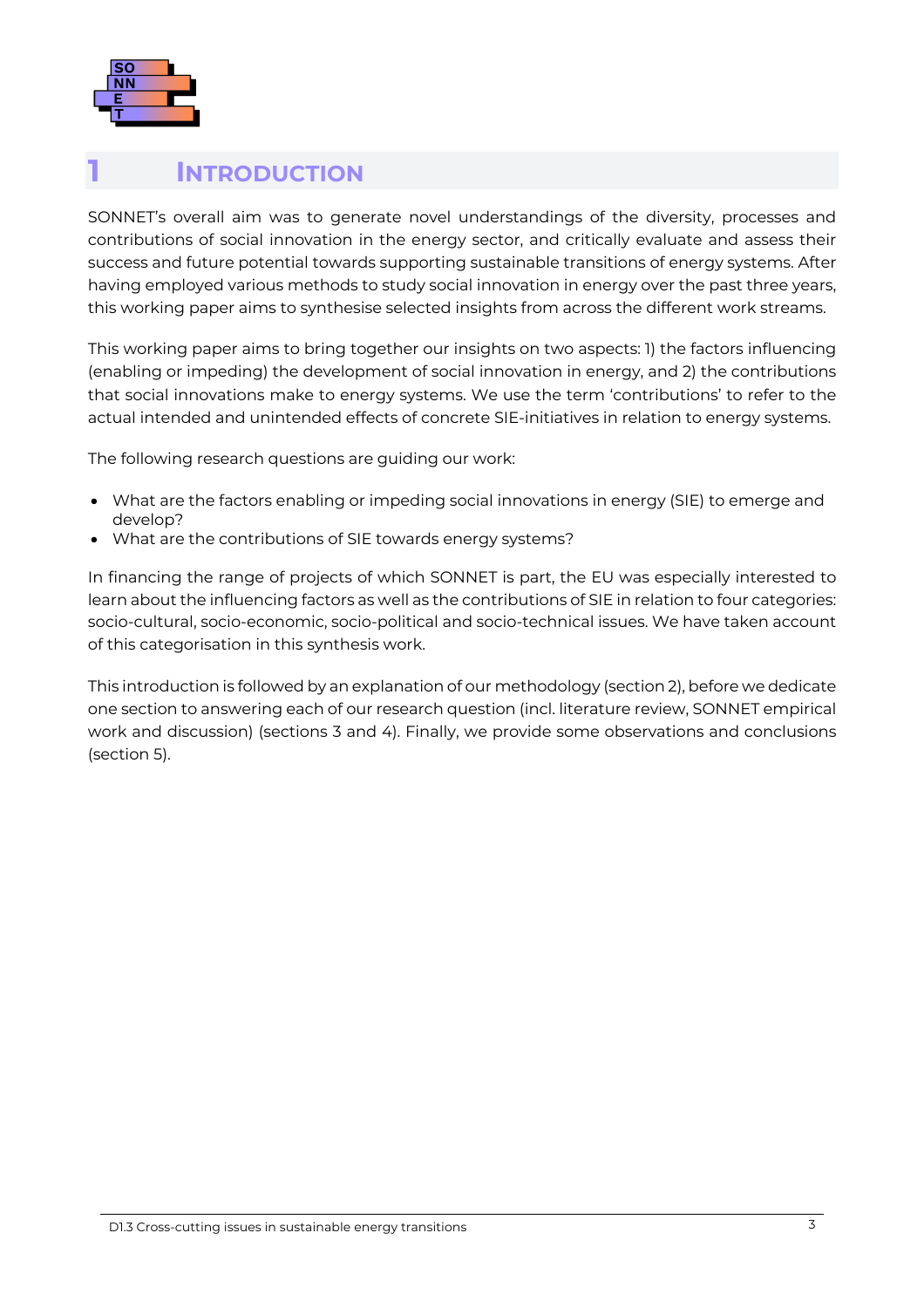

#### <span id="page-7-0"></span>**1 [INTRODUCTION](#page-33-1)**

[SONNET's overall aim was to generate novel un](#page-33-1)derstandings of the diversity, processes and contributions of social innovation in the energy sector, and critically evaluate and assess their success and future potential towards supporting sustainable transitions of energy systems. After having employed various methods to study social innovation in energy over the past three years, this working paper aims to synthesise selected insights from across the different work streams.

This working paper aims to bring together our insights on two aspects: 1) the factors influencing (enabling or impeding) the development of social innovation in energy, and 2) the contributions that social innovations make to energy systems. We use the term 'contributions' to refer to the actual intended and unintended effects of concrete SIE-initiatives in relation to energy systems.

The following research questions are guiding our work:

- What are the factors enabling or impeding social innovations in energy (SIE) to emerge and develop?
- What are the contributions of SIE towards energy systems?

In financing the range of projects of which SONNET is part, the EU was especially interested to learn about the influencing factors as well as the contributions of SIE in relation to four categories: socio-cultural, socio-economic, socio-political and socio-technical issues. We have taken account of this categorisation in this synthesis work.

This introduction is followed by an explanation of our methodology (section 2), before we dedicate one section to answering each of our research question (incl. literature review, SONNET empirical work and discussion) (sections 3 and 4). Finally, we provide some observations and conclusions (section 5).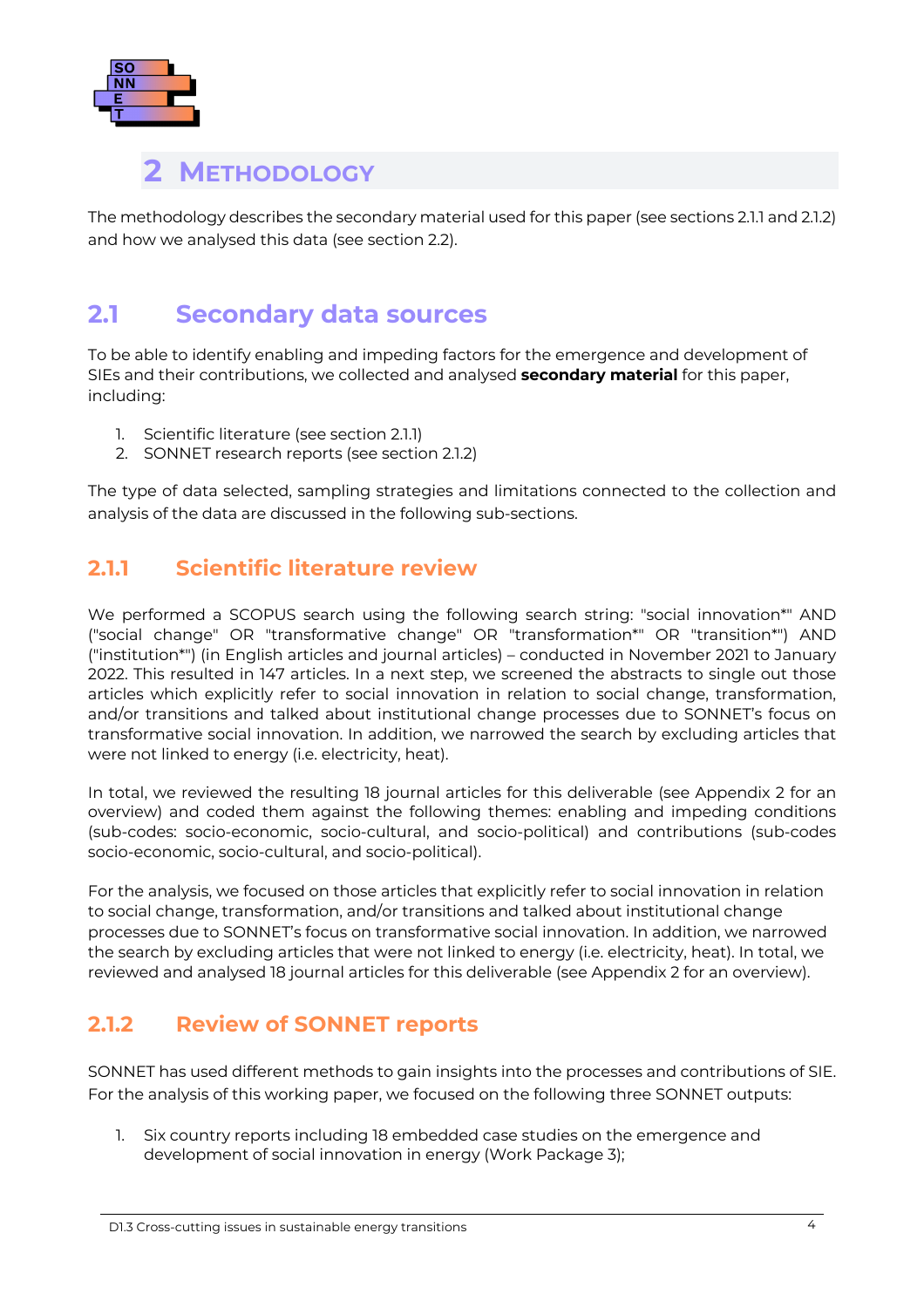

### <span id="page-8-1"></span><span id="page-8-0"></span>**2 METHODOLOGY**

The methodology describes the secondary material used for this paper (see sections 2.1.1 [and](#page-8-2) 2.1.[2\)](#page-8-3) [and](#page-8-3) how we analysed this data (see section 2.[2\).](#page-10-0)

### **2.1 Secondary data sources**

To be able to identify enabling and impeding factors for the emergence and development of SIEs and their contributions, we collected and analysed **secondary material** for this paper, including:

- 1. Scientific literature (see section 2.1.1)
- <span id="page-8-2"></span>2. SONNET research reports (see section 2.1.[2\)](#page-8-3)

[The](#page-8-3) type of data selected, sampling strategies and limitations connected to the collection and analysis of the data are discussed in the following sub-sections.

#### **2.1.1 Scientific literature review**

We performed a SCOPUS search using the following search string: "social innovation\*" AND ("social change" OR "transformative change" OR "transformation\*" OR "transition\*") AND ("institution\*") (in English articles and journal articles) – conducted in November 2021 to January 2022. This resulted in 147 articles. In a next step, we screened the abstracts to single out those articles which explicitly refer to social innovation in relation to social change, transformation, and/or transitions and talked about institutional change processes due to SONNET's focus on transformative social innovation. In addition, we narrowed the search by excluding articles that were not linked to energy (i.e. electricity, heat).

In total, we reviewed the resulting 18 journal articles for this deliverable (see Appendix 2 for an overview) and coded them against the following themes: enabling and impeding conditions (sub-codes: socio-economic, socio-cultural, and socio-political) and contributions (sub-codes socio-economic, socio-cultural, and socio-political).

For the analysis, we focused on those articles that explicitly refer to social innovation in relation to social change, transformation, and/or transitions and talked about institutional change processes due to SONNET's focus on transformative social innovation. In addition, we narrowed the search by excluding articles that were not linked to energy (i.e. electricity, heat). In total, we reviewed and analysed 18 journal articles for this deliverable (see Appendix 2 for an overview).

#### **2.1.2 Review of SONNET reports**

SONNET has used different methods to gain insights into the processes and contributions of SIE. For the analysis of this working paper, we focused on the following three SONNET outputs:

<span id="page-8-3"></span>1. Six country reports including 18 embedded case studies on the emergence and development of social innovation in energy (Work Package 3);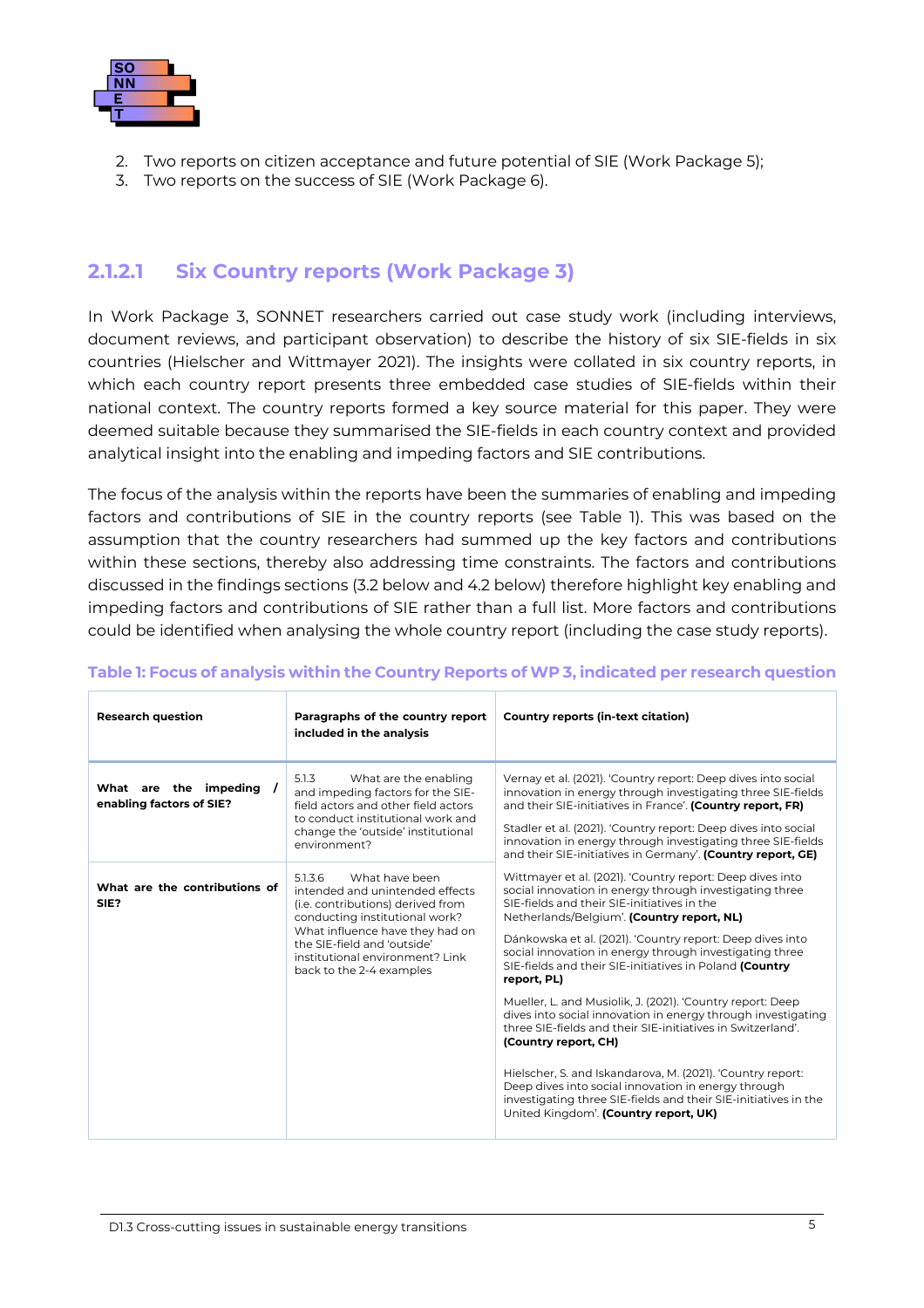

- 2. Two reports on citizen acceptance and future potential of SIE (Work Package 5);
- 3. Two reports on the success of SIE (Work Package 6).

#### **2.1.2.1 Six Country reports (Work Package 3)**

In Work Package 3, SONNET researchers carried out case study work (including interviews, document reviews, and participant observation) to describe the history of six SIE-fields in six countries (Hielscher and Wittmayer 2021). The insights were collated in six country reports, in which each country report presents three embedded case studies of SIE-fields within their national context. The country reports formed a key source material for this paper. They were deemed suitable because they summarised the SIE-fields in each country context and provided analytical insight into the enabling and impeding factors and SIE contributions.

The focus of the analysis within the reports have been the summaries of enabling and impeding factors and contributions of SIE in the country reports (see Table 1[\). This](#page-9-1) was based on the assumption that the country researchers had summed up the key factors and contributions within these sections, thereby also addressing time constraints. The factors and contributions discussed in the findings sections (3.2 below [and 4.2 b](#page-14-0)elow[\) therefor](#page-21-0)e highlight key enabling and impeding factors and contributions of SIE rather than a full list. More factors and contributions could be identified when analysing the whole country report (including the case study reports).

| <b>Research question</b>                          | Paragraphs of the country report<br>included in the analysis                                                                                                                                                                                                         | Country reports (in-text citation)                                                                                                                                                                                                                                                                                                                                                                                  |
|---------------------------------------------------|----------------------------------------------------------------------------------------------------------------------------------------------------------------------------------------------------------------------------------------------------------------------|---------------------------------------------------------------------------------------------------------------------------------------------------------------------------------------------------------------------------------------------------------------------------------------------------------------------------------------------------------------------------------------------------------------------|
| What are the impeding<br>enabling factors of SIE? | 5.1.3<br>What are the enabling<br>and impeding factors for the SIE-<br>field actors and other field actors<br>to conduct institutional work and<br>change the 'outside' institutional<br>environment?                                                                | Vernay et al. (2021). 'Country report: Deep dives into social<br>innovation in energy through investigating three SIE-fields<br>and their SIE-initiatives in France'. (Country report, FR)<br>Stadler et al. (2021). 'Country report: Deep dives into social<br>innovation in energy through investigating three SIE-fields<br>and their SIE-initiatives in Germany'. (Country report, GE)                          |
| What are the contributions of<br>SIE?             | 5.1.3.6<br>What have been<br>intended and unintended effects<br>(i.e. contributions) derived from<br>conducting institutional work?<br>What influence have they had on<br>the SIE-field and 'outside'<br>institutional environment? Link<br>back to the 2-4 examples | Wittmayer et al. (2021). 'Country report: Deep dives into<br>social innovation in energy through investigating three<br>SIE-fields and their SIE-initiatives in the<br>Netherlands/Belgium'. (Country report, NL)<br>Dánkowska et al. (2021). 'Country report: Deep dives into<br>social innovation in energy through investigating three<br>SIE-fields and their SIE-initiatives in Poland (Country<br>report, PL) |
|                                                   |                                                                                                                                                                                                                                                                      | Mueller, L. and Musiolik, J. (2021). 'Country report: Deep<br>dives into social innovation in energy through investigating<br>three SIE-fields and their SIE-initiatives in Switzerland'.<br>(Country report, CH)                                                                                                                                                                                                   |
|                                                   |                                                                                                                                                                                                                                                                      | Hielscher, S. and Iskandarova, M. (2021). 'Country report:<br>Deep dives into social innovation in energy through<br>investigating three SIE-fields and their SIE-initiatives in the<br>United Kingdom'. (Country report, UK)                                                                                                                                                                                       |

#### <span id="page-9-1"></span><span id="page-9-0"></span>**Table 1: Focus of analysis within the Country Reports of WP 3, indicated per research question**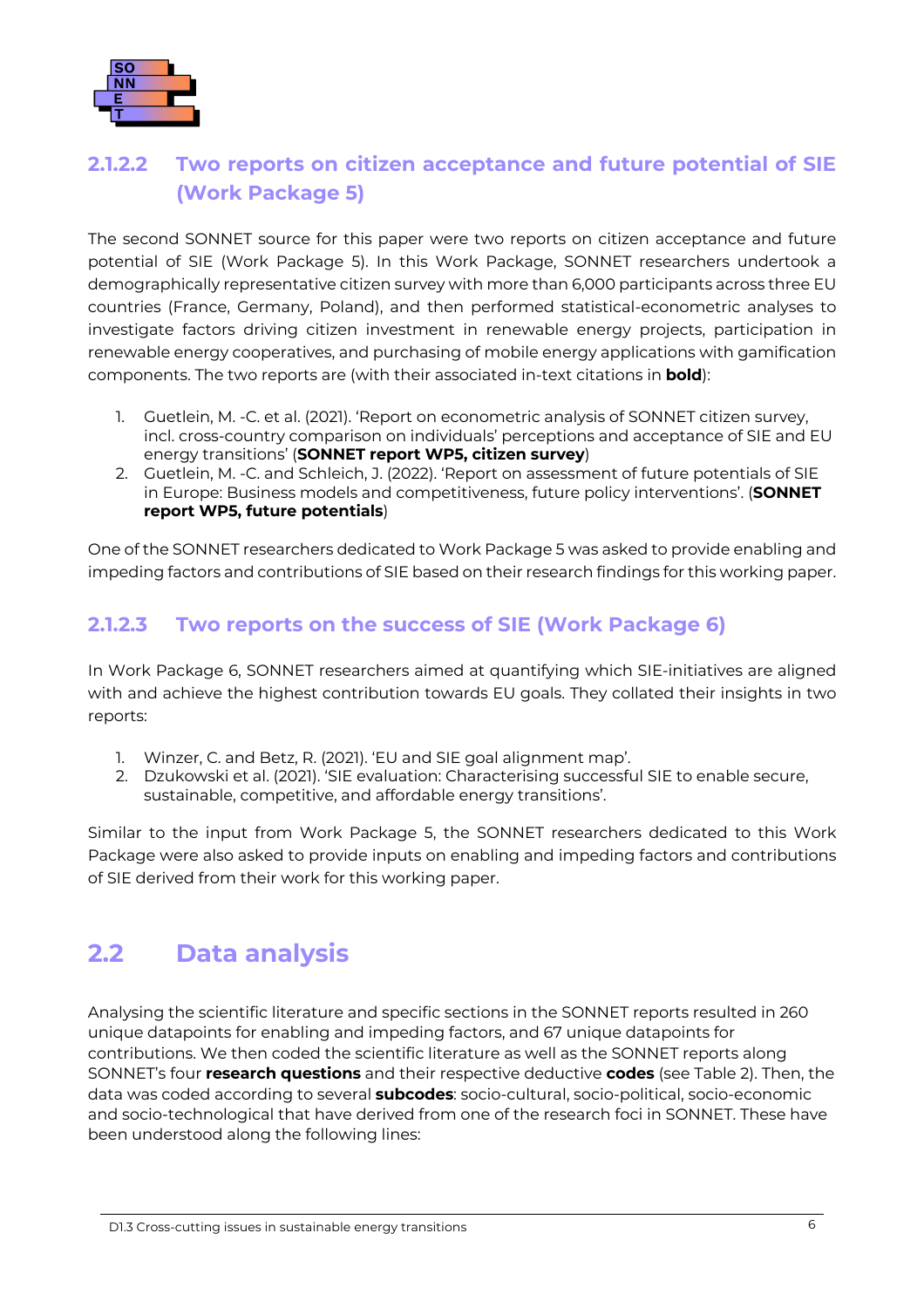

#### **2.1.2.2 Two reports on citizen acceptance and future potential of SIE (Work Package 5)**

The second SONNET source for this paper were two reports on citizen acceptance and future potential of SIE (Work Package 5). In this Work Package, SONNET researchers undertook a demographically representative citizen survey with more than 6,000 participants across three EU countries (France, Germany, Poland), and then performed statistical-econometric analyses to investigate factors driving citizen investment in renewable energy projects, participation in renewable energy cooperatives, and purchasing of mobile energy applications with gamification components. The two reports are (with their associated in-text citations in **bold**):

- 1. Guetlein, M. -C. et al. (2021). 'Report on econometric analysis of SONNET citizen survey, incl. cross-country comparison on individuals' perceptions and acceptance of SIE and EU energy transitions' (**SONNET report WP5, citizen survey**)
- 2. Guetlein, M. -C. and Schleich, J. (2022). 'Report on assessment of future potentials of SIE in Europe: Business models and competitiveness, future policy interventions'. (**SONNET report WP5, future potentials**)

One of the SONNET researchers dedicated to Work Package 5 was asked to provide enabling and impeding factors and contributions of SIE based on their research findings for this working paper.

#### **2.1.2.3 Two reports on the success of SIE (Work Package 6)**

In Work Package 6, SONNET researchers aimed at quantifying which SIE-initiatives are aligned with and achieve the highest contribution towards EU goals. They collated their insights in two reports:

- 1. Winzer, C. and Betz, R. (2021). 'EU and SIE goal alignment map'.
- 2. Dzukowski et al. (2021). 'SIE evaluation: Characterising successful SIE to enable secure, sustainable, competitive, and affordable energy transitions'.

Similar to the input from Work Package 5, the SONNET researchers dedicated to this Work Package were also asked to provide inputs on enabling and impeding factors and contributions of SIE derived from their work for this working paper.

### <span id="page-10-0"></span>**2.2 Data analysis**

Analysing the scientific literature and specific sections in the SONNET reports resulted in 260 unique datapoints for enabling and impeding factors, and 67 unique datapoints for contributions. We then coded the scientific literature as well as the SONNET reports along SONNET's four **research questions** and their respective deductive **codes** (see Table [2\). Then,](#page-11-1) the data was coded according to several **subcodes**: socio-cultural, socio-political, socio-economic and socio-technological that have derived from one of the research foci in SONNET. These have been understood along the following lines: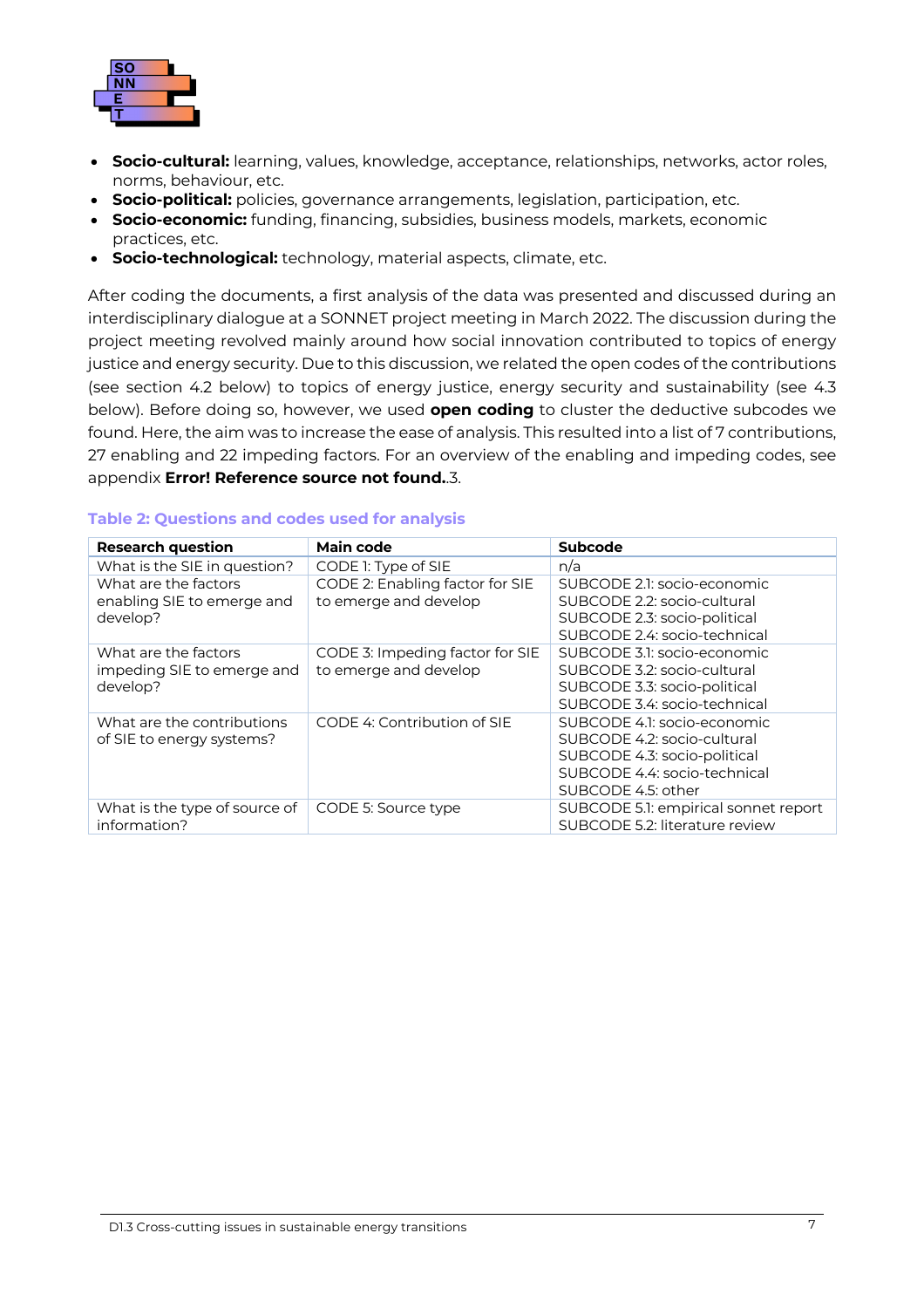

- **Socio-cultural:** learning, values, knowledge, acceptance, relationships, networks, actor roles, norms, behaviour, etc.
- **Socio-political:** policies, governance arrangements, legislation, participation, etc.
- **Socio-economic:** funding, financing, subsidies, business models, markets, economic practices, etc.
- **Socio-technological:** technology, material aspects, climate, etc.

<span id="page-11-2"></span>After coding the documents, a first analysis of the data was presented and discussed during an interdisciplinary dialogue at a SONNET project meeting in March 2022. The discussion during the project meeting revolved mainly around how social innovation contributed to topics of energy justice and energy security. Due to this discussion, we related the open codes of the contributions (see section 4.2 belo[w\) to topi](#page-21-0)cs of energy justice, energy security and sustainability (see 4.3 belo[w\). Before](#page-23-0) doing so, however, we used **open coding** to cluster the deductive subcodes we found. Here, the aim was to increase the ease of analysis. This resulted into a list of 7 contributions, 27 enabling and 22 impeding factors. For an overview of the enabling and impeding codes, see appendix **Error! Reference source not found.**[.3.](#page-11-2)

| <b>Research question</b>      | Main code                       | Subcode                              |
|-------------------------------|---------------------------------|--------------------------------------|
| What is the SIE in question?  | CODE 1: Type of SIE             | n/a                                  |
| What are the factors          | CODE 2: Enabling factor for SIE | SUBCODE 2.1: socio-economic          |
| enabling SIE to emerge and    | to emerge and develop           | SUBCODE 2.2: socio-cultural          |
| develop?                      |                                 | SUBCODE 2.3: socio-political         |
|                               |                                 | SUBCODE 2.4: socio-technical         |
| What are the factors          | CODE 3: Impeding factor for SIE | SUBCODE 3.1: socio-economic          |
| impeding SIE to emerge and    | to emerge and develop           | SUBCODE 3.2: socio-cultural          |
| develop?                      |                                 | SUBCODE 3.3: socio-political         |
|                               |                                 | SUBCODE 3.4: socio-technical         |
| What are the contributions    | CODE 4: Contribution of SIE     | SUBCODE 4.1: socio-economic          |
| of SIE to energy systems?     |                                 | SUBCODE 4.2: socio-cultural          |
|                               |                                 | SUBCODE 4.3: socio-political         |
|                               |                                 | SUBCODE 4.4: socio-technical         |
|                               |                                 | SUBCODE 4.5: other                   |
| What is the type of source of | CODE 5: Source type             | SUBCODE 5.1: empirical sonnet report |
| information?                  |                                 | SUBCODE 5.2: literature review       |

#### <span id="page-11-1"></span><span id="page-11-0"></span>**Table 2: [Questions and codes u](#page-11-2)sed for analysis**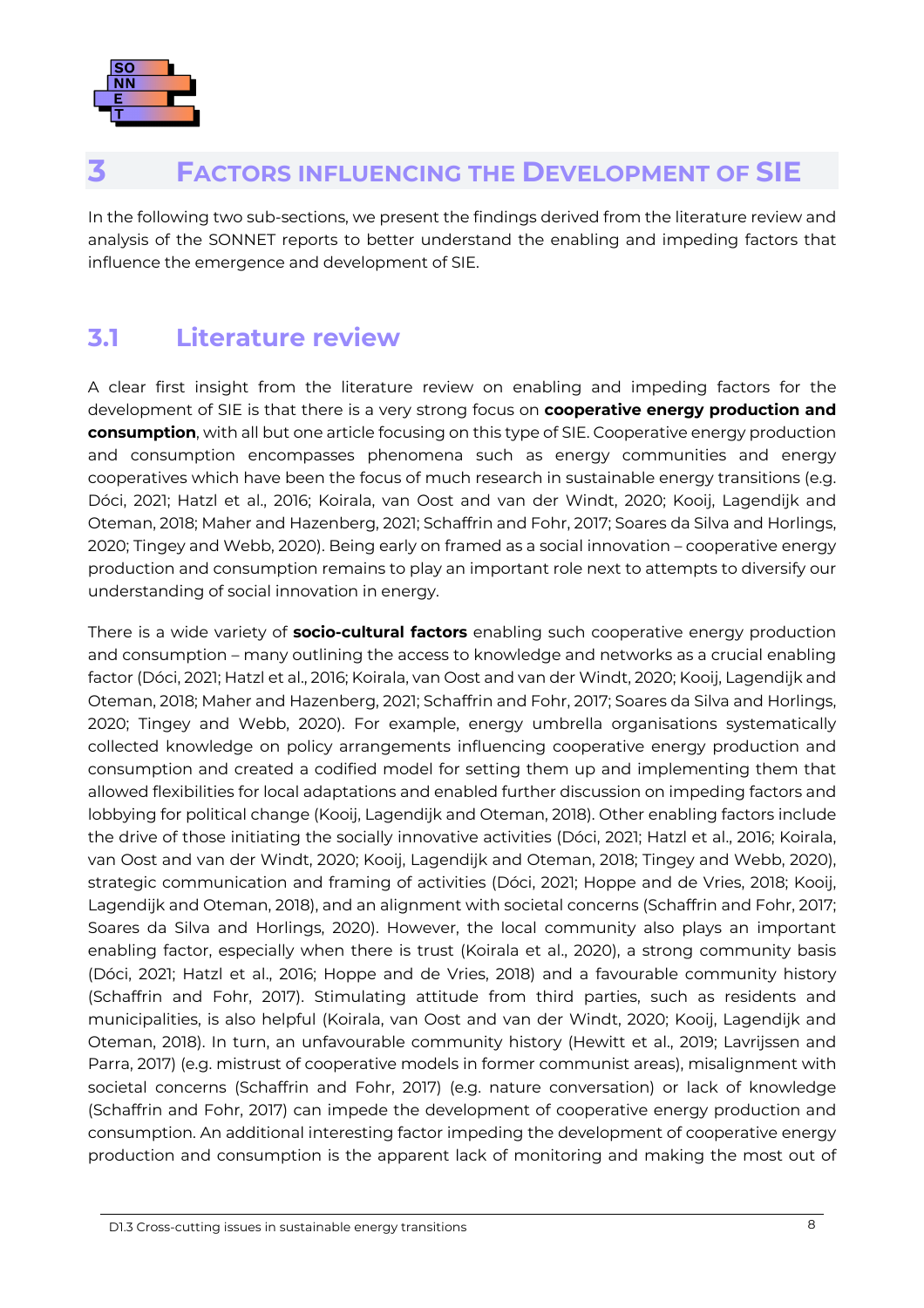

### <span id="page-12-0"></span>**3 FACTORS INFLUENCING THE DEVELOPMENT OF SIE**

In the following two sub-sections, we present the findings derived from the literature review and analysis of the SONNET reports to better understand the enabling and impeding factors that influence the emergence and development of SIE.

### <span id="page-12-1"></span>**3.1 Literature review**

A clear first insight from the literature review on enabling and impeding factors for the development of SIE is that there is a very strong focus on **cooperative energy production and consumption**, with all but one article focusing on this type of SIE. Cooperative energy production and consumption encompasses phenomena such as energy communities and energy cooperatives which have been the focus of much research in sustainable energy transitions (e.g. Dóci, 2021; Hatzl et al., 2016; Koirala, van Oost and van der Windt, 2020; Kooij, Lagendijk and Oteman, 2018; Maher and Hazenberg, 2021; Schaffrin and Fohr, 2017; Soares da Silva and Horlings, 2020; Tingey and Webb, 2020). Being early on framed as a social innovation – cooperative energy production and consumption remains to play an important role next to attempts to diversify our understanding of social innovation in energy.

There is a wide variety of **socio-cultural factors** enabling such cooperative energy production and consumption – many outlining the access to knowledge and networks as a crucial enabling factor (Dóci, 2021; Hatzl et al., 2016; Koirala, van Oost and van der Windt, 2020; Kooij, Lagendijk and Oteman, 2018; Maher and Hazenberg, 2021; Schaffrin and Fohr, 2017; Soares da Silva and Horlings, 2020; Tingey and Webb, 2020). For example, energy umbrella organisations systematically collected knowledge on policy arrangements influencing cooperative energy production and consumption and created a codified model for setting them up and implementing them that allowed flexibilities for local adaptations and enabled further discussion on impeding factors and lobbying for political change (Kooij, Lagendijk and Oteman, 2018). Other enabling factors include the drive of those initiating the socially innovative activities (Dóci, 2021; Hatzl et al., 2016; Koirala, van Oost and van der Windt, 2020; Kooij, Lagendijk and Oteman, 2018; Tingey and Webb, 2020), strategic communication and framing of activities (Dóci, 2021; Hoppe and de Vries, 2018; Kooij, Lagendijk and Oteman, 2018), and an alignment with societal concerns (Schaffrin and Fohr, 2017; Soares da Silva and Horlings, 2020). However, the local community also plays an important enabling factor, especially when there is trust (Koirala et al., 2020), a strong community basis (Dóci, 2021; Hatzl et al., 2016; Hoppe and de Vries, 2018) and a favourable community history (Schaffrin and Fohr, 2017). Stimulating attitude from third parties, such as residents and municipalities, is also helpful (Koirala, van Oost and van der Windt, 2020; Kooij, Lagendijk and Oteman, 2018). In turn, an unfavourable community history (Hewitt et al., 2019; Lavrijssen and Parra, 2017) (e.g. mistrust of cooperative models in former communist areas), misalignment with societal concerns (Schaffrin and Fohr, 2017) (e.g. nature conversation) or lack of knowledge (Schaffrin and Fohr, 2017) can impede the development of cooperative energy production and consumption. An additional interesting factor impeding the development of cooperative energy production and consumption is the apparent lack of monitoring and making the most out of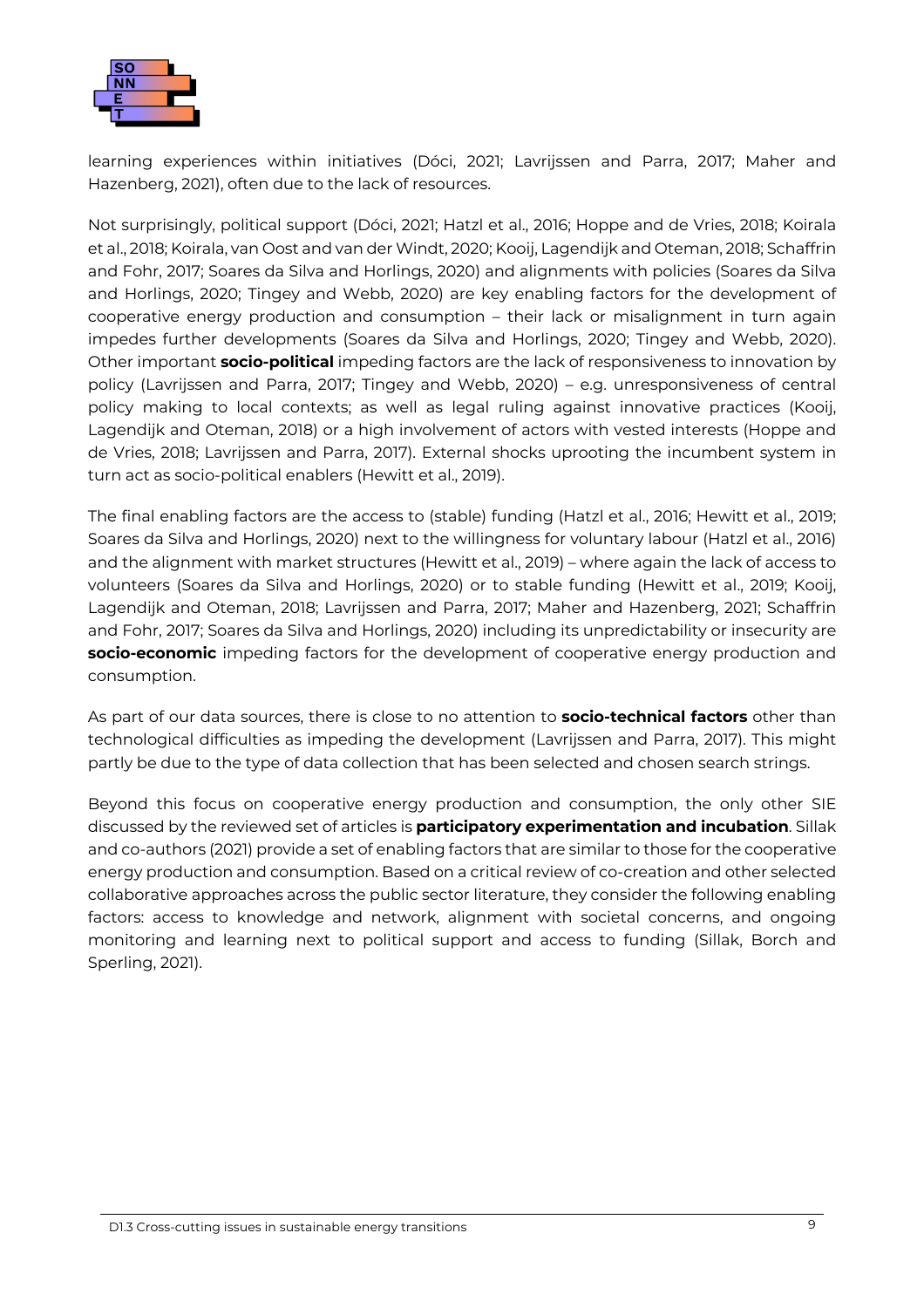

learning experiences within initiatives (Dóci, 2021; Lavrijssen and Parra, 2017; Maher and Hazenberg, 2021), often due to the lack of resources.

Not surprisingly, political support (Dóci, 2021; Hatzl et al., 2016; Hoppe and de Vries, 2018; Koirala et al., 2018; Koirala, van Oost and van der Windt, 2020; Kooij, Lagendijk and Oteman, 2018; Schaffrin and Fohr, 2017; Soares da Silva and Horlings, 2020) and alignments with policies (Soares da Silva and Horlings, 2020; Tingey and Webb, 2020) are key enabling factors for the development of cooperative energy production and consumption – their lack or misalignment in turn again impedes further developments (Soares da Silva and Horlings, 2020; Tingey and Webb, 2020). Other important **socio-political** impeding factors are the lack of responsiveness to innovation by policy (Lavrijssen and Parra, 2017; Tingey and Webb, 2020) – e.g. unresponsiveness of central policy making to local contexts; as well as legal ruling against innovative practices (Kooij, Lagendijk and Oteman, 2018) or a high involvement of actors with vested interests (Hoppe and de Vries, 2018; Lavrijssen and Parra, 2017). External shocks uprooting the incumbent system in turn act as socio-political enablers (Hewitt et al., 2019).

The final enabling factors are the access to (stable) funding (Hatzl et al., 2016; Hewitt et al., 2019; Soares da Silva and Horlings, 2020) next to the willingness for voluntary labour (Hatzl et al., 2016) and the alignment with market structures (Hewitt et al., 2019) – where again the lack of access to volunteers (Soares da Silva and Horlings, 2020) or to stable funding (Hewitt et al., 2019; Kooij, Lagendijk and Oteman, 2018; Lavrijssen and Parra, 2017; Maher and Hazenberg, 2021; Schaffrin and Fohr, 2017; Soares da Silva and Horlings, 2020) including its unpredictability or insecurity are **socio-economic** impeding factors for the development of cooperative energy production and consumption.

As part of our data sources, there is close to no attention to **socio-technical factors** other than technological difficulties as impeding the development (Lavrijssen and Parra, 2017). This might partly be due to the type of data collection that has been selected and chosen search strings.

Beyond this focus on cooperative energy production and consumption, the only other SIE discussed by the reviewed set of articles is **participatory experimentation and incubation**. Sillak and co-authors (2021) provide a set of enabling factors that are similar to those for the cooperative energy production and consumption. Based on a critical review of co-creation and other selected collaborative approaches across the public sector literature, they consider the following enabling factors: access to knowledge and network, alignment with societal concerns, and ongoing monitoring and learning next to political support and access to funding (Sillak, Borch and Sperling, 2021).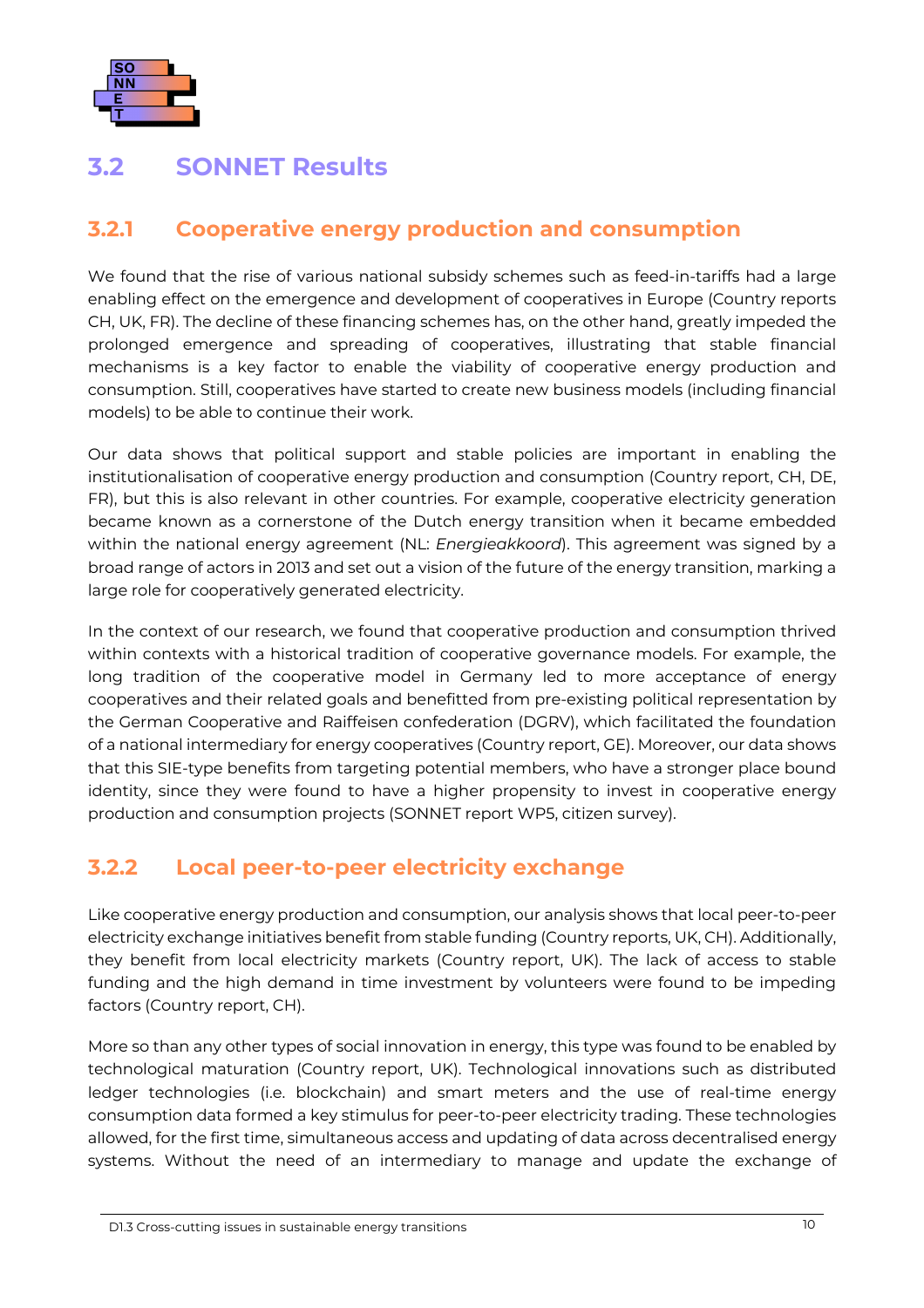

### <span id="page-14-0"></span>**3.2 SONNET Results**

#### <span id="page-14-1"></span>**3.2.1 Cooperative energy production and consumption**

We found that the rise of various national subsidy schemes such as feed-in-tariffs had a large enabling effect on the emergence and development of cooperatives in Europe (Country reports CH, UK, FR). The decline of these financing schemes has, on the other hand, greatly impeded the prolonged emergence and spreading of cooperatives, illustrating that stable financial mechanisms is a key factor to enable the viability of cooperative energy production and consumption. Still, cooperatives have started to create new business models (including financial models) to be able to continue their work.

Our data shows that political support and stable policies are important in enabling the institutionalisation of cooperative energy production and consumption (Country report, CH, DE, FR), but this is also relevant in other countries. For example, cooperative electricity generation became known as a cornerstone of the Dutch energy transition when it became embedded within the national energy agreement (NL: *Energieakkoord*). This agreement was signed by a broad range of actors in 2013 and set out a vision of the future of the energy transition, marking a large role for cooperatively generated electricity.

In the context of our research, we found that cooperative production and consumption thrived within contexts with a historical tradition of cooperative governance models. For example, the long tradition of the cooperative model in Germany led to more acceptance of energy cooperatives and their related goals and benefitted from pre-existing political representation by the German Cooperative and Raiffeisen confederation (DGRV), which facilitated the foundation of a national intermediary for energy cooperatives (Country report, GE). Moreover, our data shows that this SIE-type benefits from targeting potential members, who have a stronger place bound identity, since they were found to have a higher propensity to invest in cooperative energy production and consumption projects (SONNET report WP5, citizen survey).

#### <span id="page-14-2"></span>**3.2.2 Local peer-to-peer electricity exchange**

Like cooperative energy production and consumption, our analysis shows that local peer-to-peer electricity exchange initiatives benefit from stable funding (Country reports, UK, CH). Additionally, they benefit from local electricity markets (Country report, UK). The lack of access to stable funding and the high demand in time investment by volunteers were found to be impeding factors (Country report, CH).

More so than any other types of social innovation in energy, this type was found to be enabled by technological maturation (Country report, UK). Technological innovations such as distributed ledger technologies (i.e. blockchain) and smart meters and the use of real-time energy consumption data formed a key stimulus for peer-to-peer electricity trading. These technologies allowed, for the first time, simultaneous access and updating of data across decentralised energy systems. Without the need of an intermediary to manage and update the exchange of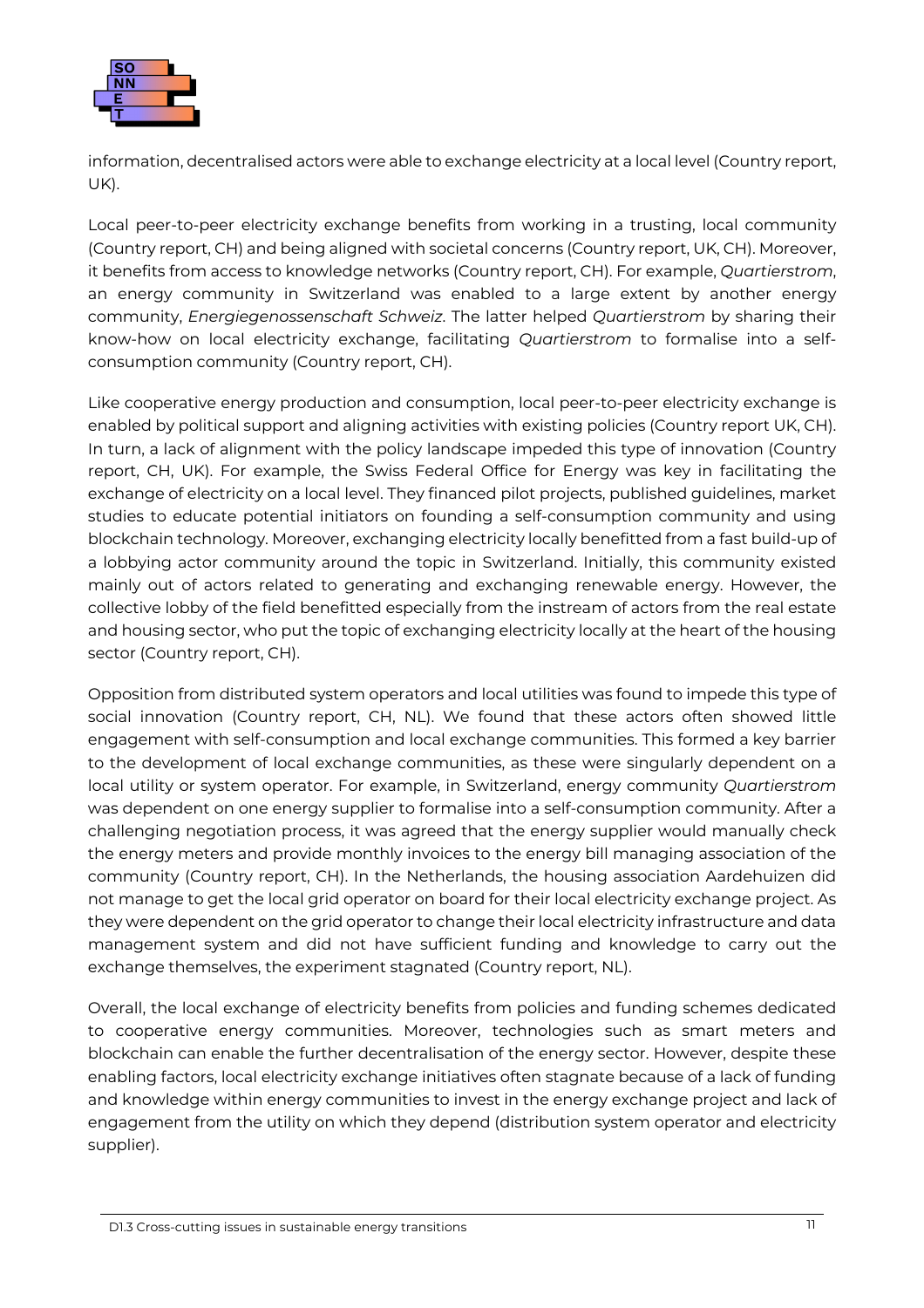

information, decentralised actors were able to exchange electricity at a local level (Country report, UK).

Local peer-to-peer electricity exchange benefits from working in a trusting, local community (Country report, CH) and being aligned with societal concerns (Country report, UK, CH). Moreover, it benefits from access to knowledge networks (Country report, CH). For example, *Quartierstrom*, an energy community in Switzerland was enabled to a large extent by another energy community, *Energiegenossenschaft Schweiz*. The latter helped *Quartierstrom* by sharing their know-how on local electricity exchange, facilitating *Quartierstrom* to formalise into a selfconsumption community (Country report, CH).

Like cooperative energy production and consumption, local peer-to-peer electricity exchange is enabled by political support and aligning activities with existing policies (Country report UK, CH). In turn, a lack of alignment with the policy landscape impeded this type of innovation (Country report, CH, UK). For example, the Swiss Federal Office for Energy was key in facilitating the exchange of electricity on a local level. They financed pilot projects, published guidelines, market studies to educate potential initiators on founding a self-consumption community and using blockchain technology. Moreover, exchanging electricity locally benefitted from a fast build-up of a lobbying actor community around the topic in Switzerland. Initially, this community existed mainly out of actors related to generating and exchanging renewable energy. However, the collective lobby of the field benefitted especially from the instream of actors from the real estate and housing sector, who put the topic of exchanging electricity locally at the heart of the housing sector (Country report, CH).

Opposition from distributed system operators and local utilities was found to impede this type of social innovation (Country report, CH, NL). We found that these actors often showed little engagement with self-consumption and local exchange communities. This formed a key barrier to the development of local exchange communities, as these were singularly dependent on a local utility or system operator. For example, in Switzerland, energy community *Quartierstrom*  was dependent on one energy supplier to formalise into a self-consumption community. After a challenging negotiation process, it was agreed that the energy supplier would manually check the energy meters and provide monthly invoices to the energy bill managing association of the community (Country report, CH). In the Netherlands, the housing association Aardehuizen did not manage to get the local grid operator on board for their local electricity exchange project. As they were dependent on the grid operator to change their local electricity infrastructure and data management system and did not have sufficient funding and knowledge to carry out the exchange themselves, the experiment stagnated (Country report, NL).

Overall, the local exchange of electricity benefits from policies and funding schemes dedicated to cooperative energy communities. Moreover, technologies such as smart meters and blockchain can enable the further decentralisation of the energy sector. However, despite these enabling factors, local electricity exchange initiatives often stagnate because of a lack of funding and knowledge within energy communities to invest in the energy exchange project and lack of engagement from the utility on which they depend (distribution system operator and electricity supplier).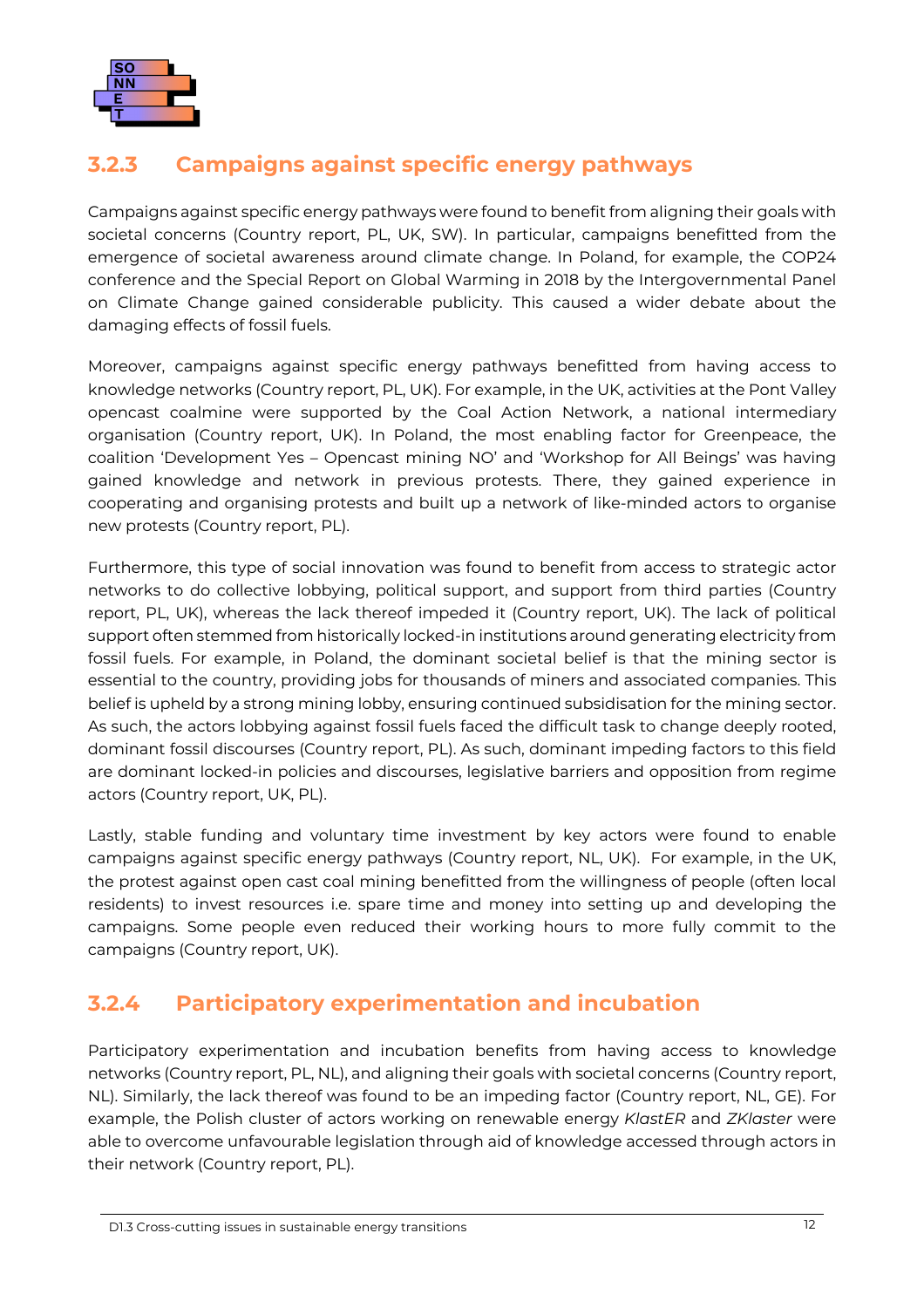

#### <span id="page-16-0"></span>**3.2.3 Campaigns against specific energy pathways**

Campaigns against specific energy pathways were found to benefit from aligning their goals with societal concerns (Country report, PL, UK, SW). In particular, campaigns benefitted from the emergence of societal awareness around climate change. In Poland, for example, the COP24 conference and the Special Report on Global Warming in 2018 by the Intergovernmental Panel on Climate Change gained considerable publicity. This caused a wider debate about the damaging effects of fossil fuels.

Moreover, campaigns against specific energy pathways benefitted from having access to knowledge networks (Country report, PL, UK). For example, in the UK, activities at the Pont Valley opencast coalmine were supported by the Coal Action Network, a national intermediary organisation (Country report, UK). In Poland, the most enabling factor for Greenpeace, the coalition 'Development Yes – Opencast mining NO' and 'Workshop for All Beings' was having gained knowledge and network in previous protests. There, they gained experience in cooperating and organising protests and built up a network of like-minded actors to organise new protests (Country report, PL).

Furthermore, this type of social innovation was found to benefit from access to strategic actor networks to do collective lobbying, political support, and support from third parties (Country report, PL, UK), whereas the lack thereof impeded it (Country report, UK). The lack of political support often stemmed from historically locked-in institutions around generating electricity from fossil fuels. For example, in Poland, the dominant societal belief is that the mining sector is essential to the country, providing jobs for thousands of miners and associated companies. This belief is upheld by a strong mining lobby, ensuring continued subsidisation for the mining sector. As such, the actors lobbying against fossil fuels faced the difficult task to change deeply rooted, dominant fossil discourses (Country report, PL). As such, dominant impeding factors to this field are dominant locked-in policies and discourses, legislative barriers and opposition from regime actors (Country report, UK, PL).

Lastly, stable funding and voluntary time investment by key actors were found to enable campaigns against specific energy pathways (Country report, NL, UK). For example, in the UK, the protest against open cast coal mining benefitted from the willingness of people (often local residents) to invest resources i.e. spare time and money into setting up and developing the campaigns. Some people even reduced their working hours to more fully commit to the campaigns (Country report, UK).

#### <span id="page-16-1"></span>**3.2.4 Participatory experimentation and incubation**

Participatory experimentation and incubation benefits from having access to knowledge networks (Country report, PL, NL), and aligning their goals with societal concerns (Country report, NL). Similarly, the lack thereof was found to be an impeding factor (Country report, NL, GE). For example, the Polish cluster of actors working on renewable energy *KlastER* and *ZKlaster* were able to overcome unfavourable legislation through aid of knowledge accessed through actors in their network (Country report, PL).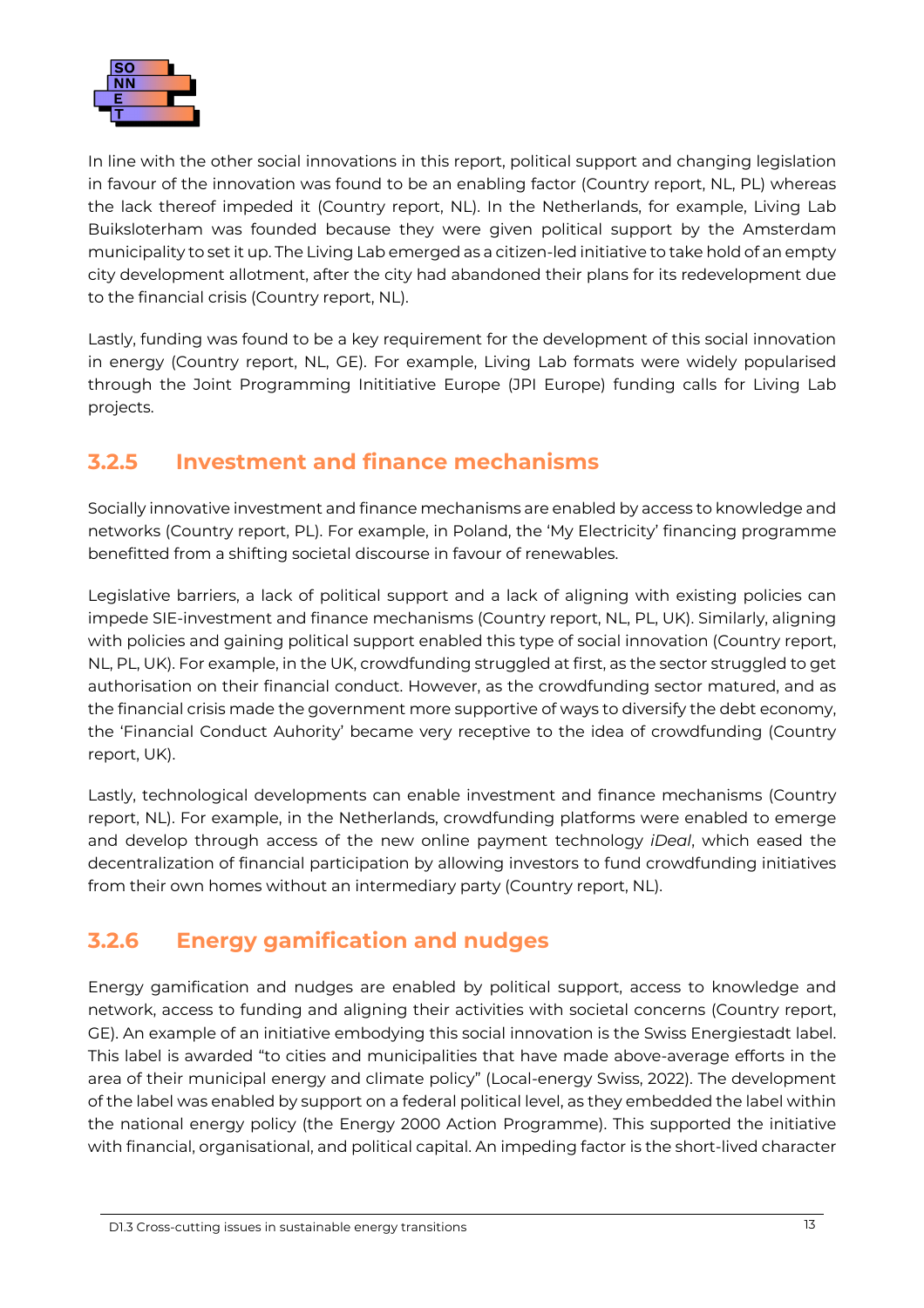

In line with the other social innovations in this report, political support and changing legislation in favour of the innovation was found to be an enabling factor (Country report, NL, PL) whereas the lack thereof impeded it (Country report, NL). In the Netherlands, for example, Living Lab Buiksloterham was founded because they were given political support by the Amsterdam municipality to set it up. The Living Lab emerged as a citizen-led initiative to take hold of an empty city development allotment, after the city had abandoned their plans for its redevelopment due to the financial crisis (Country report, NL).

Lastly, funding was found to be a key requirement for the development of this social innovation in energy (Country report, NL, GE). For example, Living Lab formats were widely popularised through the Joint Programming Inititiative Europe (JPI Europe) funding calls for Living Lab projects.

#### <span id="page-17-0"></span>**3.2.5 Investment and finance mechanisms**

Socially innovative investment and finance mechanisms are enabled by access to knowledge and networks (Country report, PL). For example, in Poland, the 'My Electricity' financing programme benefitted from a shifting societal discourse in favour of renewables.

Legislative barriers, a lack of political support and a lack of aligning with existing policies can impede SIE-investment and finance mechanisms (Country report, NL, PL, UK). Similarly, aligning with policies and gaining political support enabled this type of social innovation (Country report, NL, PL, UK). For example, in the UK, crowdfunding struggled at first, as the sector struggled to get authorisation on their financial conduct. However, as the crowdfunding sector matured, and as the financial crisis made the government more supportive of ways to diversify the debt economy, the 'Financial Conduct Auhority' became very receptive to the idea of crowdfunding (Country report, UK).

Lastly, technological developments can enable investment and finance mechanisms (Country report, NL). For example, in the Netherlands, crowdfunding platforms were enabled to emerge and develop through access of the new online payment technology *iDeal*, which eased the decentralization of financial participation by allowing investors to fund crowdfunding initiatives from their own homes without an intermediary party (Country report, NL).

#### <span id="page-17-1"></span>**3.2.6 Energy gamification and nudges**

Energy gamification and nudges are enabled by political support, access to knowledge and network, access to funding and aligning their activities with societal concerns (Country report, GE). An example of an initiative embodying this social innovation is the Swiss Energiestadt label. This label is awarded "to cities and municipalities that have made above-average efforts in the area of their municipal energy and climate policy" (Local-energy Swiss, 2022). The development of the label was enabled by support on a federal political level, as they embedded the label within the national energy policy (the Energy 2000 Action Programme). This supported the initiative with financial, organisational, and political capital. An impeding factor is the short-lived character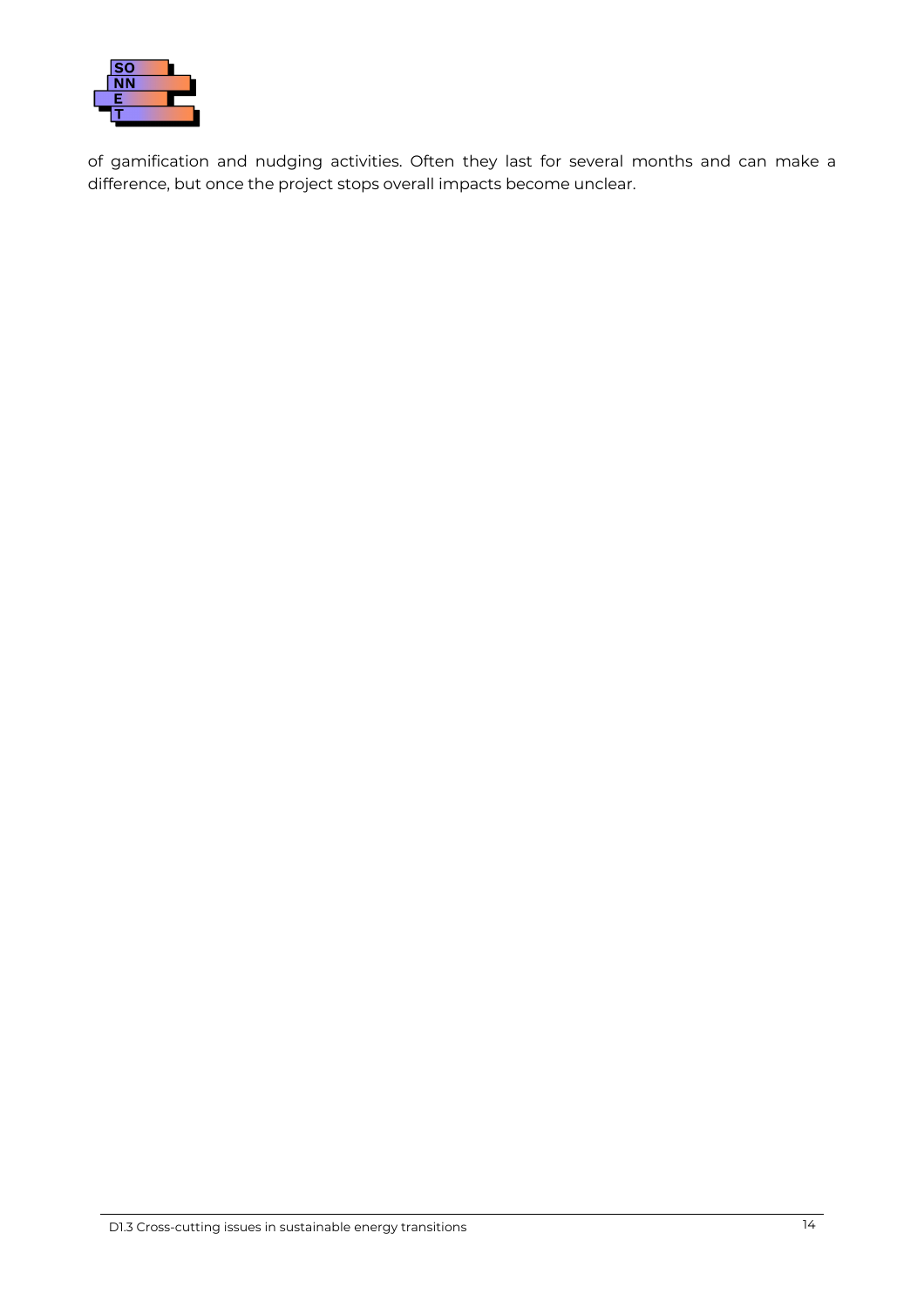

of gamification and nudging activities. Often they last for several months and can make a difference, but once the project stops overall impacts become unclear.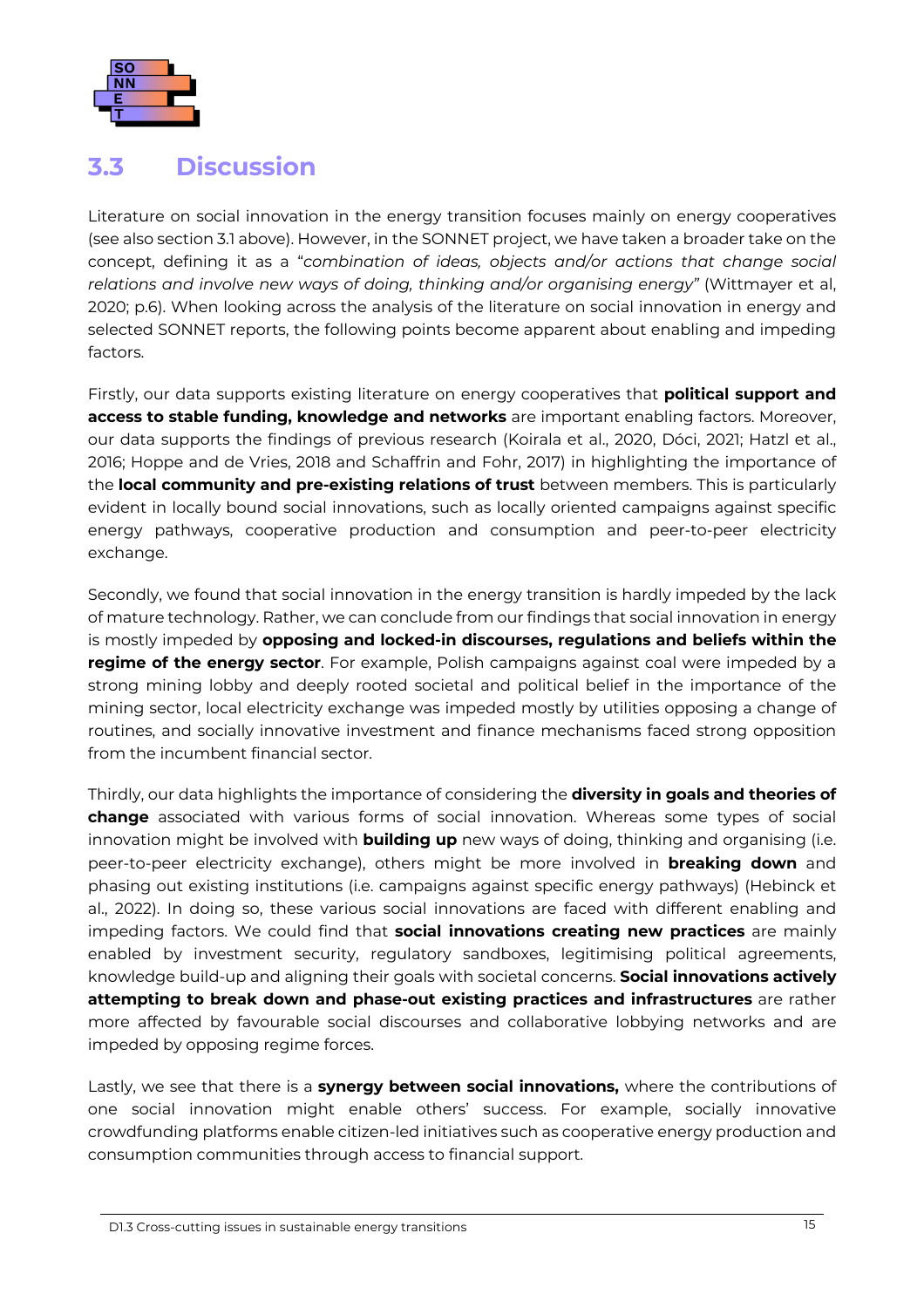

#### <span id="page-19-0"></span>**3.3 Discussion**

Literature on social innovation in the energy transition focuses mainly on energy cooperatives (see also section 3.1 above[\). Howeve](#page-12-1)r, in the SONNET project, we have taken a broader take on the concept, defining it as a "*combination of ideas, objects and/or actions that change social relations and involve new ways of doing, thinking and/or organising energy"* (Wittmayer et al, 2020; p.6). When looking across the analysis of the literature on social innovation in energy and selected SONNET reports, the following points become apparent about enabling and impeding factors.

Firstly, our data supports existing literature on energy cooperatives that **political support and access to stable funding, knowledge and networks** are important enabling factors. Moreover, our data supports the findings of previous research (Koirala et al., 2020, Dóci, 2021; Hatzl et al., 2016; Hoppe and de Vries, 2018 and Schaffrin and Fohr, 2017) in highlighting the importance of the **local community and pre-existing relations of trust** between members. This is particularly evident in locally bound social innovations, such as locally oriented campaigns against specific energy pathways, cooperative production and consumption and peer-to-peer electricity exchange.

Secondly, we found that social innovation in the energy transition is hardly impeded by the lack of mature technology. Rather, we can conclude from our findings that social innovation in energy is mostly impeded by **opposing and locked-in discourses, regulations and beliefs within the regime of the energy sector**. For example, Polish campaigns against coal were impeded by a strong mining lobby and deeply rooted societal and political belief in the importance of the mining sector, local electricity exchange was impeded mostly by utilities opposing a change of routines, and socially innovative investment and finance mechanisms faced strong opposition from the incumbent financial sector.

Thirdly, our data highlights the importance of considering the **diversity in goals and theories of change** associated with various forms of social innovation. Whereas some types of social innovation might be involved with **building up** new ways of doing, thinking and organising (i.e. peer-to-peer electricity exchange), others might be more involved in **breaking down** and phasing out existing institutions (i.e. campaigns against specific energy pathways) (Hebinck et al., 2022). In doing so, these various social innovations are faced with different enabling and impeding factors. We could find that **social innovations creating new practices** are mainly enabled by investment security, regulatory sandboxes, legitimising political agreements, knowledge build-up and aligning their goals with societal concerns. **Social innovations actively attempting to break down and phase-out existing practices and infrastructures** are rather more affected by favourable social discourses and collaborative lobbying networks and are impeded by opposing regime forces.

Lastly, we see that there is a **synergy between social innovations,** where the contributions of one social innovation might enable others' success. For example, socially innovative crowdfunding platforms enable citizen-led initiatives such as cooperative energy production and consumption communities through access to financial support.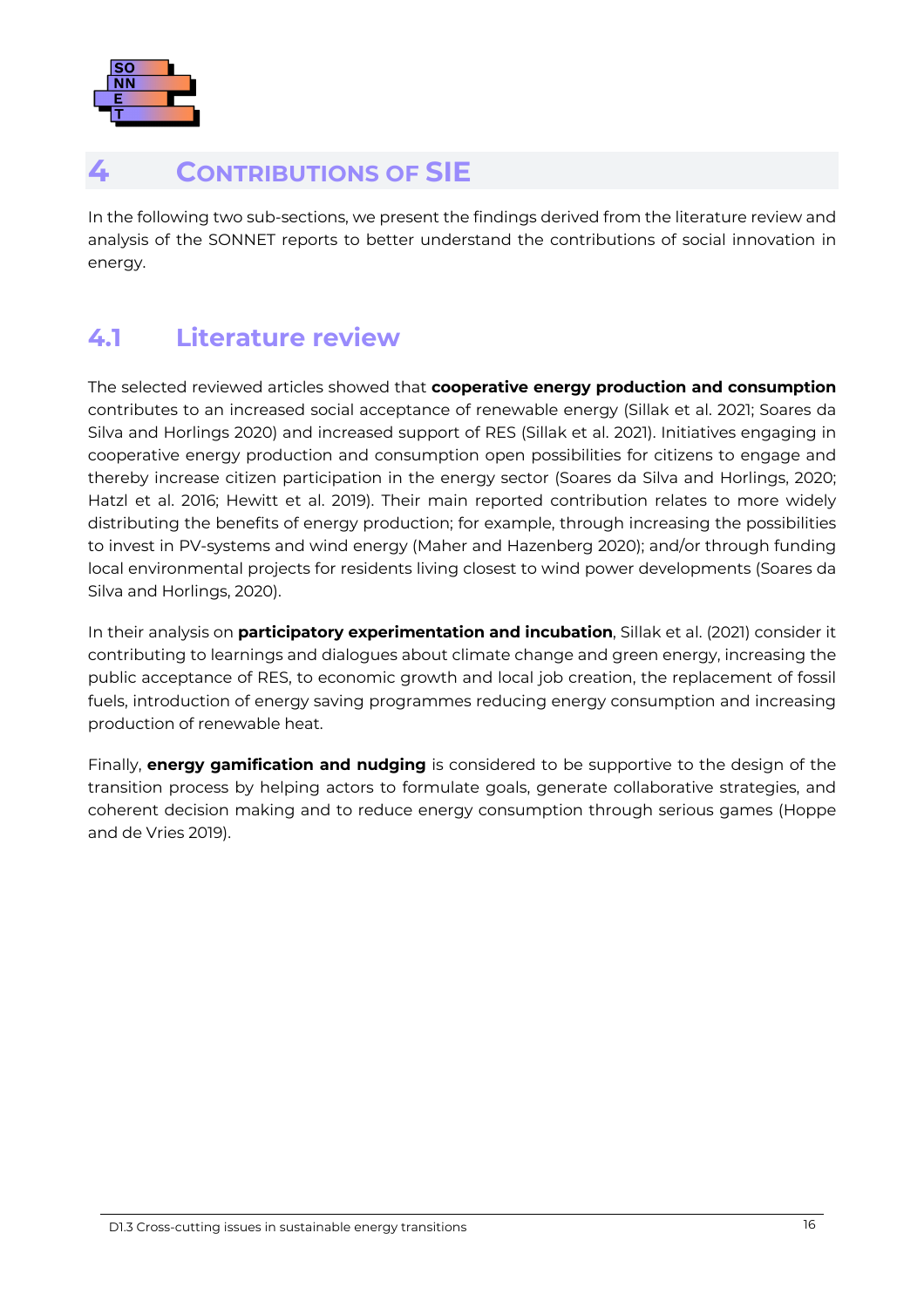

### <span id="page-20-0"></span>**4 CONTRIBUTIONS OF SIE**

In the following two sub-sections, we present the findings derived from the literature review and analysis of the SONNET reports to better understand the contributions of social innovation in energy.

### <span id="page-20-1"></span>**4.1 Literature review**

The selected reviewed articles showed that **cooperative energy production and consumption** contributes to an increased social acceptance of renewable energy (Sillak et al. 2021; Soares da Silva and Horlings 2020) and increased support of RES (Sillak et al. 2021). Initiatives engaging in cooperative energy production and consumption open possibilities for citizens to engage and thereby increase citizen participation in the energy sector (Soares da Silva and Horlings, 2020; Hatzl et al. 2016; Hewitt et al. 2019). Their main reported contribution relates to more widely distributing the benefits of energy production; for example, through increasing the possibilities to invest in PV-systems and wind energy (Maher and Hazenberg 2020); and/or through funding local environmental projects for residents living closest to wind power developments (Soares da Silva and Horlings, 2020).

In their analysis on **participatory experimentation and incubation**, Sillak et al. (2021) consider it contributing to learnings and dialogues about climate change and green energy, increasing the public acceptance of RES, to economic growth and local job creation, the replacement of fossil fuels, introduction of energy saving programmes reducing energy consumption and increasing production of renewable heat.

Finally, **energy gamification and nudging** is considered to be supportive to the design of the transition process by helping actors to formulate goals, generate collaborative strategies, and coherent decision making and to reduce energy consumption through serious games (Hoppe and de Vries 2019).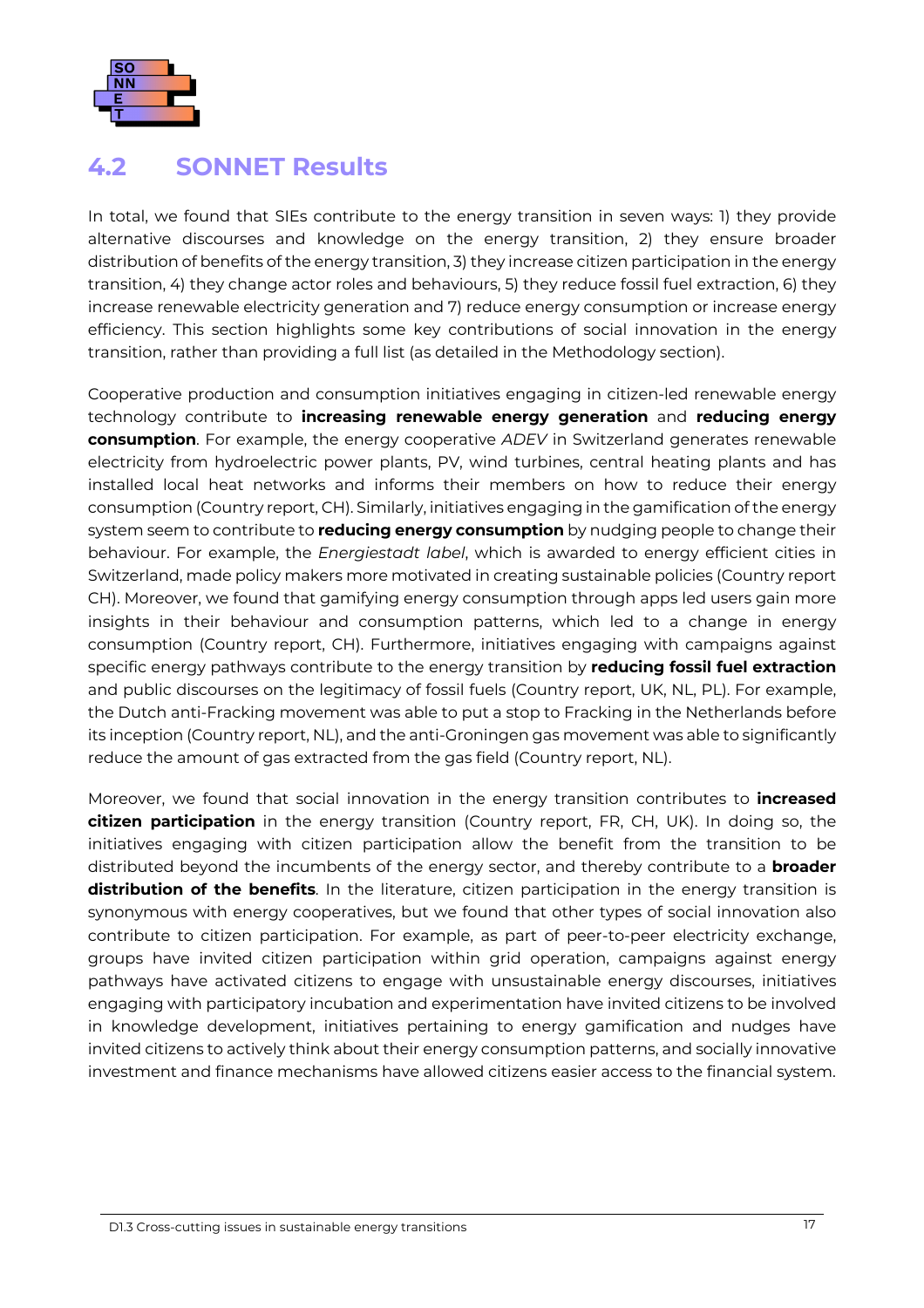

#### <span id="page-21-0"></span>**4.2 SONNET Results**

In total, we found that SIEs contribute to the energy transition in seven ways: 1) they provide alternative discourses and knowledge on the energy transition, 2) they ensure broader distribution of benefits of the energy transition, 3) they increase citizen participation in the energy transition, 4) they change actor roles and behaviours, 5) they reduce fossil fuel extraction, 6) they increase renewable electricity generation and 7) reduce energy consumption or increase energy efficiency. This section highlights some key contributions of social innovation in the energy transition, rather than providing a full list (as detailed in the Methodology section).

Cooperative production and consumption initiatives engaging in citizen-led renewable energy technology contribute to **increasing renewable energy generation** and **reducing energy consumption**. For example, the energy cooperative *ADEV* in Switzerland generates renewable electricity from hydroelectric power plants, PV, wind turbines, central heating plants and has installed local heat networks and informs their members on how to reduce their energy consumption (Country report, CH). Similarly, initiatives engaging in the gamification of the energy system seem to contribute to **reducing energy consumption** by nudging people to change their behaviour. For example, the *Energiestadt label*, which is awarded to energy efficient cities in Switzerland, made policy makers more motivated in creating sustainable policies (Country report CH). Moreover, we found that gamifying energy consumption through apps led users gain more insights in their behaviour and consumption patterns, which led to a change in energy consumption (Country report, CH). Furthermore, initiatives engaging with campaigns against specific energy pathways contribute to the energy transition by **reducing fossil fuel extraction** and public discourses on the legitimacy of fossil fuels (Country report, UK, NL, PL). For example, the Dutch anti-Fracking movement was able to put a stop to Fracking in the Netherlands before its inception (Country report, NL), and the anti-Groningen gas movement was able to significantly reduce the amount of gas extracted from the gas field (Country report, NL).

Moreover, we found that social innovation in the energy transition contributes to **increased citizen participation** in the energy transition (Country report, FR, CH, UK). In doing so, the initiatives engaging with citizen participation allow the benefit from the transition to be distributed beyond the incumbents of the energy sector, and thereby contribute to a **broader distribution of the benefits**. In the literature, citizen participation in the energy transition is synonymous with energy cooperatives, but we found that other types of social innovation also contribute to citizen participation. For example, as part of peer-to-peer electricity exchange, groups have invited citizen participation within grid operation, campaigns against energy pathways have activated citizens to engage with unsustainable energy discourses, initiatives engaging with participatory incubation and experimentation have invited citizens to be involved in knowledge development, initiatives pertaining to energy gamification and nudges have invited citizens to actively think about their energy consumption patterns, and socially innovative investment and finance mechanisms have allowed citizens easier access to the financial system.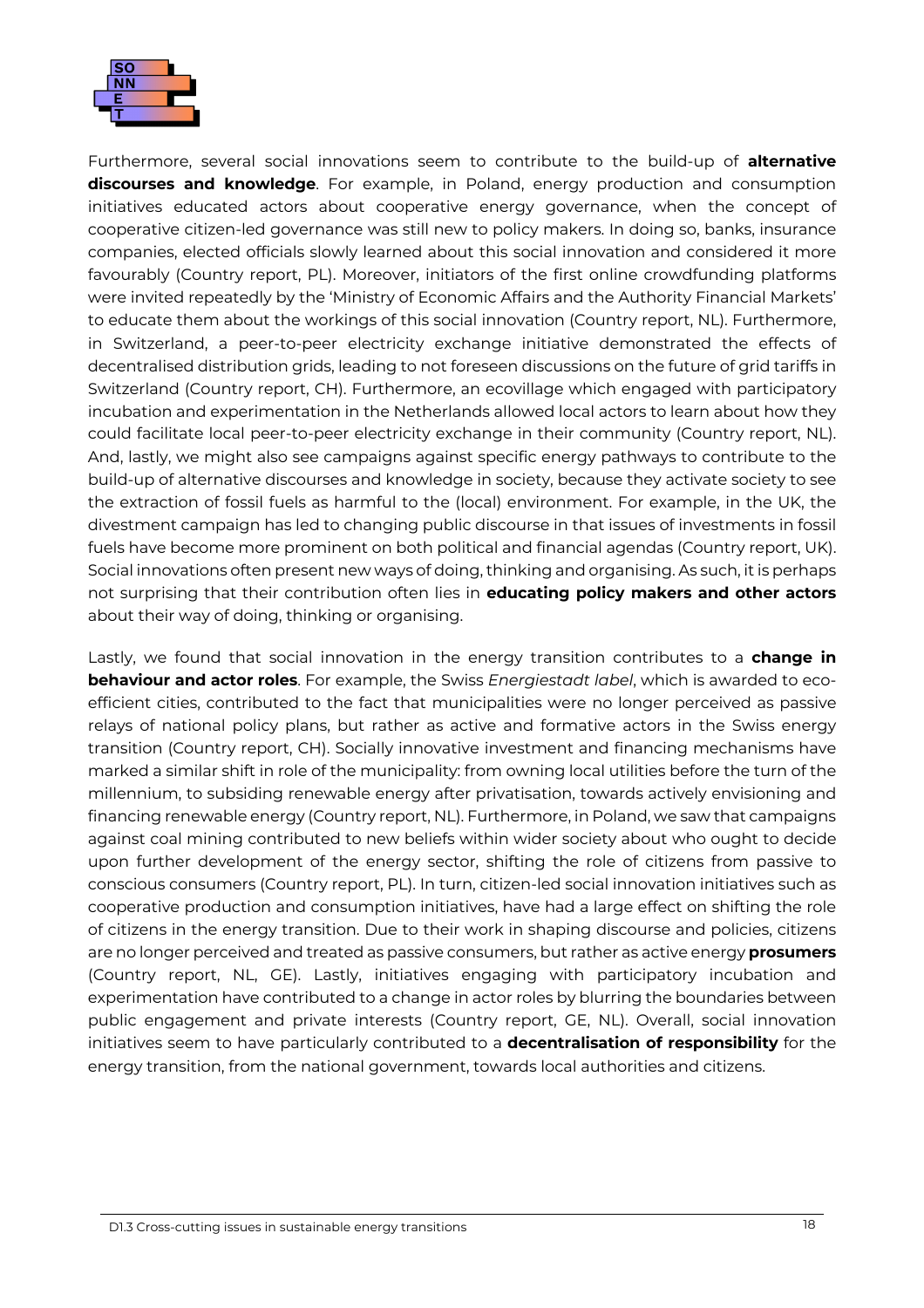

Furthermore, several social innovations seem to contribute to the build-up of **alternative discourses and knowledge**. For example, in Poland, energy production and consumption initiatives educated actors about cooperative energy governance, when the concept of cooperative citizen-led governance was still new to policy makers. In doing so, banks, insurance companies, elected officials slowly learned about this social innovation and considered it more favourably (Country report, PL). Moreover, initiators of the first online crowdfunding platforms were invited repeatedly by the 'Ministry of Economic Affairs and the Authority Financial Markets' to educate them about the workings of this social innovation (Country report, NL). Furthermore, in Switzerland, a peer-to-peer electricity exchange initiative demonstrated the effects of decentralised distribution grids, leading to not foreseen discussions on the future of grid tariffs in Switzerland (Country report, CH). Furthermore, an ecovillage which engaged with participatory incubation and experimentation in the Netherlands allowed local actors to learn about how they could facilitate local peer-to-peer electricity exchange in their community (Country report, NL). And, lastly, we might also see campaigns against specific energy pathways to contribute to the build-up of alternative discourses and knowledge in society, because they activate society to see the extraction of fossil fuels as harmful to the (local) environment. For example, in the UK, the divestment campaign has led to changing public discourse in that issues of investments in fossil fuels have become more prominent on both political and financial agendas (Country report, UK). Social innovations often present new ways of doing, thinking and organising. As such, it is perhaps not surprising that their contribution often lies in **educating policy makers and other actors**  about their way of doing, thinking or organising.

Lastly, we found that social innovation in the energy transition contributes to a **change in behaviour and actor roles**. For example, the Swiss *Energiestadt label*, which is awarded to ecoefficient cities, contributed to the fact that municipalities were no longer perceived as passive relays of national policy plans, but rather as active and formative actors in the Swiss energy transition (Country report, CH). Socially innovative investment and financing mechanisms have marked a similar shift in role of the municipality: from owning local utilities before the turn of the millennium, to subsiding renewable energy after privatisation, towards actively envisioning and financing renewable energy (Country report, NL). Furthermore, in Poland, we saw that campaigns against coal mining contributed to new beliefs within wider society about who ought to decide upon further development of the energy sector, shifting the role of citizens from passive to conscious consumers (Country report, PL). In turn, citizen-led social innovation initiatives such as cooperative production and consumption initiatives, have had a large effect on shifting the role of citizens in the energy transition. Due to their work in shaping discourse and policies, citizens are no longer perceived and treated as passive consumers, but rather as active energy **prosumers** (Country report, NL, GE). Lastly, initiatives engaging with participatory incubation and experimentation have contributed to a change in actor roles by blurring the boundaries between public engagement and private interests (Country report, GE, NL). Overall, social innovation initiatives seem to have particularly contributed to a **decentralisation of responsibility** for the energy transition, from the national government, towards local authorities and citizens.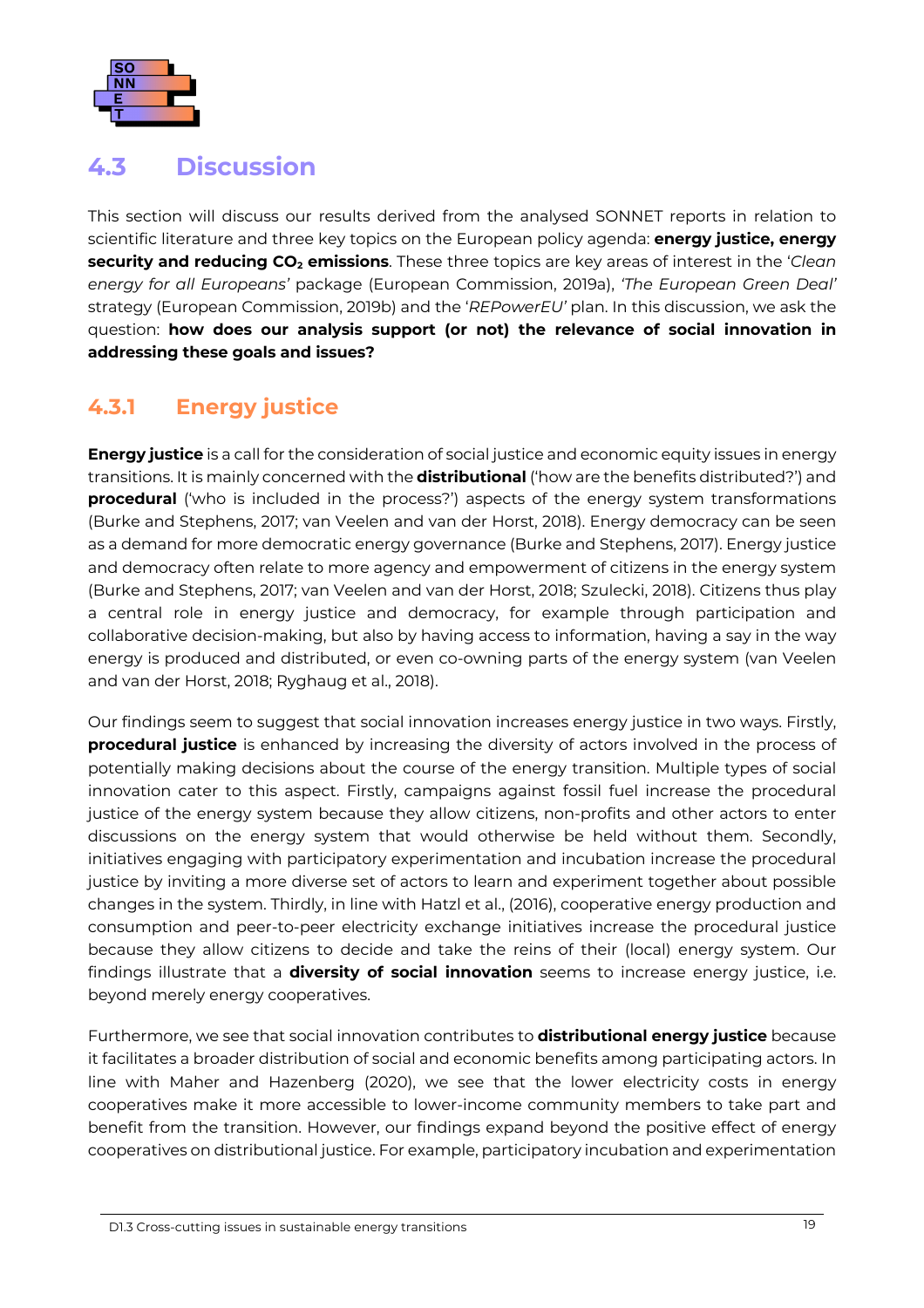

### <span id="page-23-0"></span>**4.3 Discussion**

This section will discuss our results derived from the analysed SONNET reports in relation to scientific literature and three key topics on the European policy agenda: **energy justice, energy security and reducing CO<sub>2</sub> emissions**. These three topics are key areas of interest in the '*Clean energy for all Europeans'* package (European Commission, 2019a), *'The European Green Deal'* strategy (European Commission, 2019b) and the '*REPowerEU'* plan. In this discussion, we ask the question: **how does our analysis support (or not) the relevance of social innovation in addressing these goals and issues?**

#### <span id="page-23-1"></span>**4.3.1 Energy justice**

**Energy justice** is a call for the consideration of social justice and economic equity issues in energy transitions. It is mainly concerned with the **distributional** ('how are the benefits distributed?') and **procedural** ('who is included in the process?') aspects of the energy system transformations (Burke and Stephens, 2017; van Veelen and van der Horst, 2018). Energy democracy can be seen as a demand for more democratic energy governance (Burke and Stephens, 2017). Energy justice and democracy often relate to more agency and empowerment of citizens in the energy system (Burke and Stephens, 2017; van Veelen and van der Horst, 2018; Szulecki, 2018). Citizens thus play a central role in energy justice and democracy, for example through participation and collaborative decision-making, but also by having access to information, having a say in the way energy is produced and distributed, or even co-owning parts of the energy system (van Veelen and van der Horst, 2018; Ryghaug et al., 2018).

Our findings seem to suggest that social innovation increases energy justice in two ways. Firstly, **procedural justice** is enhanced by increasing the diversity of actors involved in the process of potentially making decisions about the course of the energy transition. Multiple types of social innovation cater to this aspect. Firstly, campaigns against fossil fuel increase the procedural justice of the energy system because they allow citizens, non-profits and other actors to enter discussions on the energy system that would otherwise be held without them. Secondly, initiatives engaging with participatory experimentation and incubation increase the procedural justice by inviting a more diverse set of actors to learn and experiment together about possible changes in the system. Thirdly, in line with Hatzl et al., (2016), cooperative energy production and consumption and peer-to-peer electricity exchange initiatives increase the procedural justice because they allow citizens to decide and take the reins of their (local) energy system. Our findings illustrate that a **diversity of social innovation** seems to increase energy justice, i.e. beyond merely energy cooperatives.

Furthermore, we see that social innovation contributes to **distributional energy justice** because it facilitates a broader distribution of social and economic benefits among participating actors. In line with Maher and Hazenberg (2020), we see that the lower electricity costs in energy cooperatives make it more accessible to lower-income community members to take part and benefit from the transition. However, our findings expand beyond the positive effect of energy cooperatives on distributional justice. For example, participatory incubation and experimentation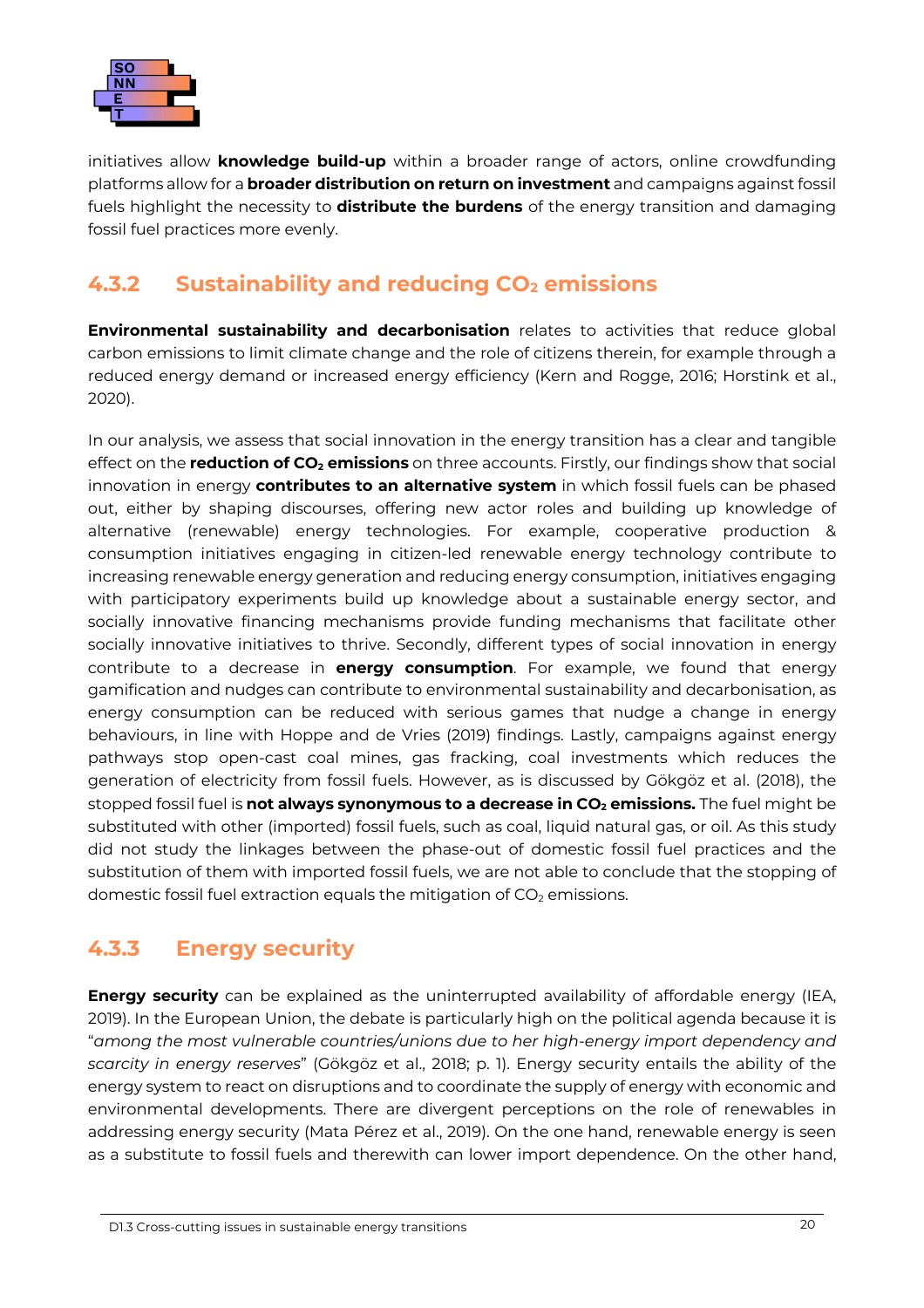

initiatives allow **knowledge build-up** within a broader range of actors, online crowdfunding platforms allow for a **broader distribution on return on investment** and campaigns against fossil fuels highlight the necessity to **distribute the burdens** of the energy transition and damaging fossil fuel practices more evenly.

### <span id="page-24-0"></span>**4.3.2 Sustainability and reducing CO2 emissions**

**Environmental sustainability and decarbonisation** relates to activities that reduce global carbon emissions to limit climate change and the role of citizens therein, for example through a reduced energy demand or increased energy efficiency (Kern and Rogge, 2016; Horstink et al., 2020).

In our analysis, we assess that social innovation in the energy transition has a clear and tangible effect on the **reduction of CO<sub>2</sub> emissions** on three accounts. Firstly, our findings show that social innovation in energy **contributes to an alternative system** in which fossil fuels can be phased out, either by shaping discourses, offering new actor roles and building up knowledge of alternative (renewable) energy technologies. For example, cooperative production & consumption initiatives engaging in citizen-led renewable energy technology contribute to increasing renewable energy generation and reducing energy consumption, initiatives engaging with participatory experiments build up knowledge about a sustainable energy sector, and socially innovative financing mechanisms provide funding mechanisms that facilitate other socially innovative initiatives to thrive. Secondly, different types of social innovation in energy contribute to a decrease in **energy consumption**. For example, we found that energy gamification and nudges can contribute to environmental sustainability and decarbonisation, as energy consumption can be reduced with serious games that nudge a change in energy behaviours, in line with Hoppe and de Vries (2019) findings. Lastly, campaigns against energy pathways stop open-cast coal mines, gas fracking, coal investments which reduces the generation of electricity from fossil fuels. However, as is discussed by Gökgöz et al. (2018), the stopped fossil fuel is **not always synonymous to a decrease in CO<sub>2</sub> emissions.** The fuel might be substituted with other (imported) fossil fuels, such as coal, liquid natural gas, or oil. As this study did not study the linkages between the phase-out of domestic fossil fuel practices and the substitution of them with imported fossil fuels, we are not able to conclude that the stopping of domestic fossil fuel extraction equals the mitigation of  $CO<sub>2</sub>$  emissions.

#### <span id="page-24-1"></span>**4.3.3 Energy security**

**Energy security** can be explained as the uninterrupted availability of affordable energy (IEA, 2019). In the European Union, the debate is particularly high on the political agenda because it is "*among the most vulnerable countries/unions due to her high-energy import dependency and scarcity in energy reserves*" (Gökgöz et al., 2018; p. 1). Energy security entails the ability of the energy system to react on disruptions and to coordinate the supply of energy with economic and environmental developments. There are divergent perceptions on the role of renewables in addressing energy security (Mata Pérez et al., 2019). On the one hand, renewable energy is seen as a substitute to fossil fuels and therewith can lower import dependence. On the other hand,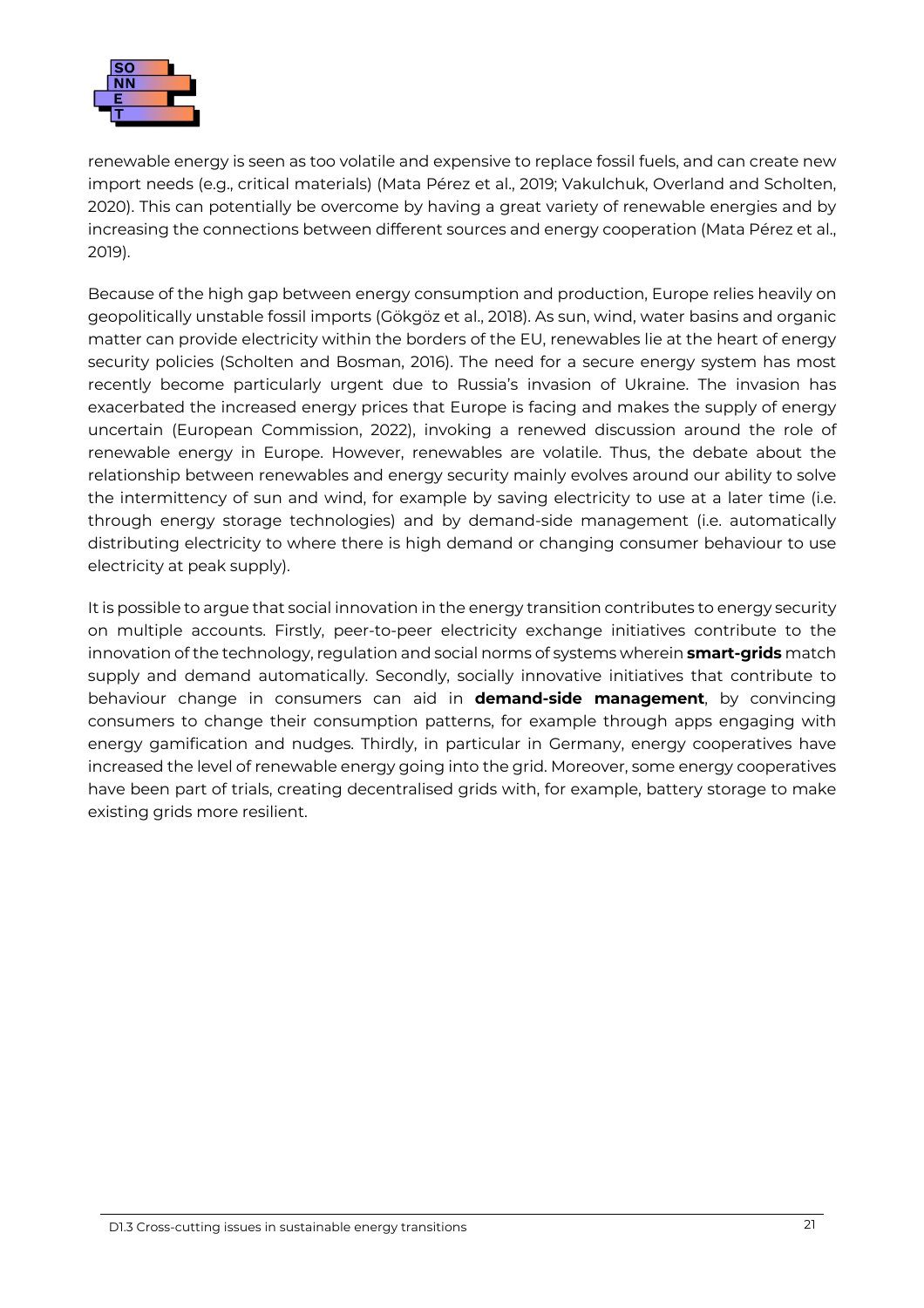

renewable energy is seen as too volatile and expensive to replace fossil fuels, and can create new import needs (e.g., critical materials) (Mata Pérez et al., 2019; Vakulchuk, Overland and Scholten, 2020). This can potentially be overcome by having a great variety of renewable energies and by increasing the connections between different sources and energy cooperation (Mata Pérez et al., 2019).

Because of the high gap between energy consumption and production, Europe relies heavily on geopolitically unstable fossil imports (Gökgöz et al., 2018). As sun, wind, water basins and organic matter can provide electricity within the borders of the EU, renewables lie at the heart of energy security policies (Scholten and Bosman, 2016). The need for a secure energy system has most recently become particularly urgent due to Russia's invasion of Ukraine. The invasion has exacerbated the increased energy prices that Europe is facing and makes the supply of energy uncertain (European Commission, 2022), invoking a renewed discussion around the role of renewable energy in Europe. However, renewables are volatile. Thus, the debate about the relationship between renewables and energy security mainly evolves around our ability to solve the intermittency of sun and wind, for example by saving electricity to use at a later time (i.e. through energy storage technologies) and by demand-side management (i.e. automatically distributing electricity to where there is high demand or changing consumer behaviour to use electricity at peak supply).

It is possible to argue that social innovation in the energy transition contributes to energy security on multiple accounts. Firstly, peer-to-peer electricity exchange initiatives contribute to the innovation of the technology, regulation and social norms of systems wherein **smart-grids** match supply and demand automatically. Secondly, socially innovative initiatives that contribute to behaviour change in consumers can aid in **demand-side management**, by convincing consumers to change their consumption patterns, for example through apps engaging with energy gamification and nudges. Thirdly, in particular in Germany, energy cooperatives have increased the level of renewable energy going into the grid. Moreover, some energy cooperatives have been part of trials, creating decentralised grids with, for example, battery storage to make existing grids more resilient.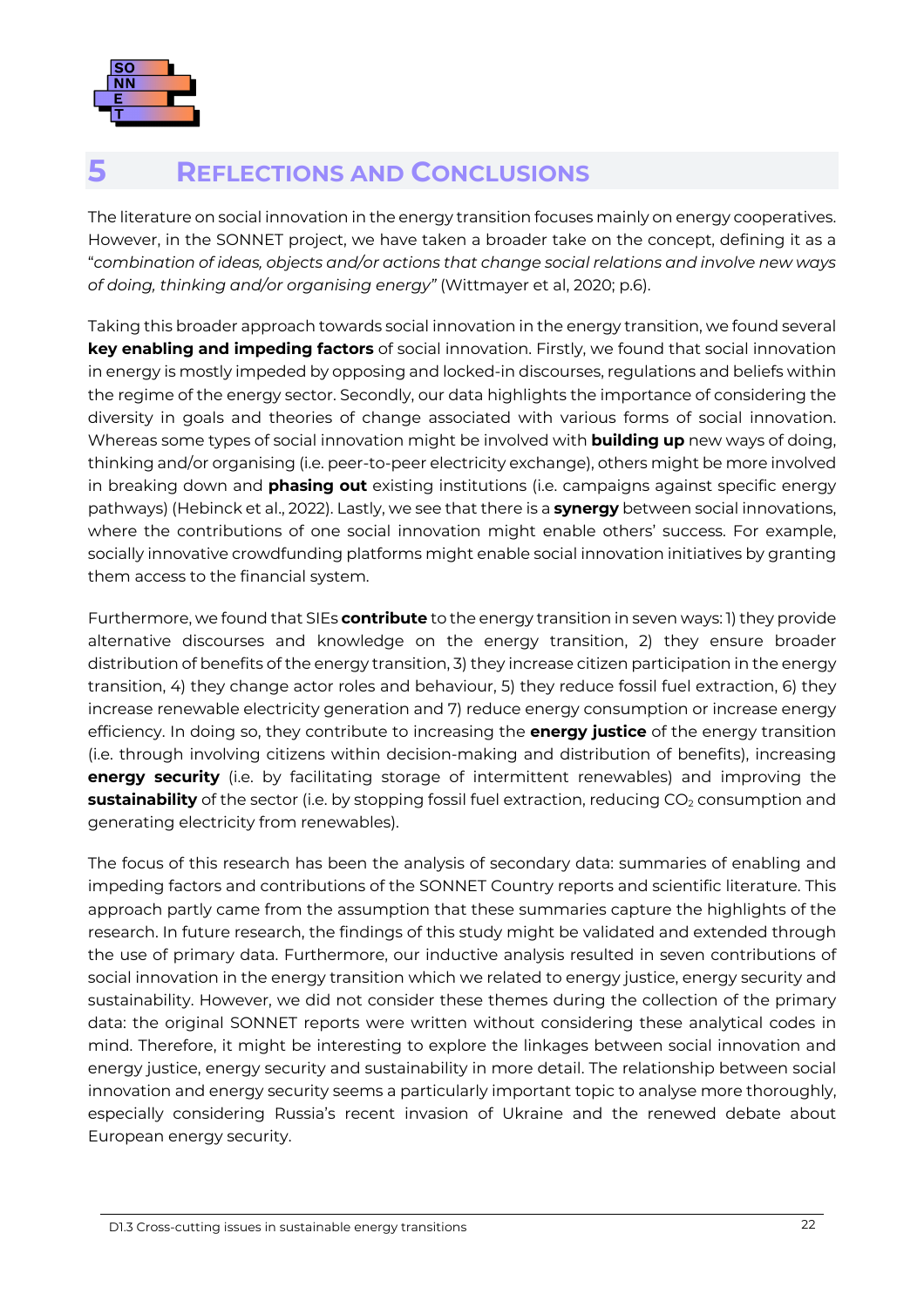

### <span id="page-26-0"></span>**5 REFLECTIONS AND CONCLUSIONS**

The literature on social innovation in the energy transition focuses mainly on energy cooperatives. However, in the SONNET project, we have taken a broader take on the concept, defining it as a "*combination of ideas, objects and/or actions that change social relations and involve new ways of doing, thinking and/or organising energy"* (Wittmayer et al, 2020; p.6).

Taking this broader approach towards social innovation in the energy transition, we found several **key enabling and impeding factors** of social innovation. Firstly, we found that social innovation in energy is mostly impeded by opposing and locked-in discourses, regulations and beliefs within the regime of the energy sector. Secondly, our data highlights the importance of considering the diversity in goals and theories of change associated with various forms of social innovation. Whereas some types of social innovation might be involved with **building up** new ways of doing, thinking and/or organising (i.e. peer-to-peer electricity exchange), others might be more involved in breaking down and **phasing out** existing institutions (i.e. campaigns against specific energy pathways) (Hebinck et al., 2022). Lastly, we see that there is a **synergy** between social innovations, where the contributions of one social innovation might enable others' success. For example, socially innovative crowdfunding platforms might enable social innovation initiatives by granting them access to the financial system.

Furthermore, we found that SIEs **contribute** to the energy transition in seven ways: 1) they provide alternative discourses and knowledge on the energy transition, 2) they ensure broader distribution of benefits of the energy transition, 3) they increase citizen participation in the energy transition, 4) they change actor roles and behaviour, 5) they reduce fossil fuel extraction, 6) they increase renewable electricity generation and 7) reduce energy consumption or increase energy efficiency. In doing so, they contribute to increasing the **energy justice** of the energy transition (i.e. through involving citizens within decision-making and distribution of benefits), increasing **energy security** (i.e. by facilitating storage of intermittent renewables) and improving the **sustainability** of the sector (i.e. by stopping fossil fuel extraction, reducing CO<sub>2</sub> consumption and generating electricity from renewables).

The focus of this research has been the analysis of secondary data: summaries of enabling and impeding factors and contributions of the SONNET Country reports and scientific literature. This approach partly came from the assumption that these summaries capture the highlights of the research. In future research, the findings of this study might be validated and extended through the use of primary data. Furthermore, our inductive analysis resulted in seven contributions of social innovation in the energy transition which we related to energy justice, energy security and sustainability. However, we did not consider these themes during the collection of the primary data: the original SONNET reports were written without considering these analytical codes in mind. Therefore, it might be interesting to explore the linkages between social innovation and energy justice, energy security and sustainability in more detail. The relationship between social innovation and energy security seems a particularly important topic to analyse more thoroughly, especially considering Russia's recent invasion of Ukraine and the renewed debate about European energy security.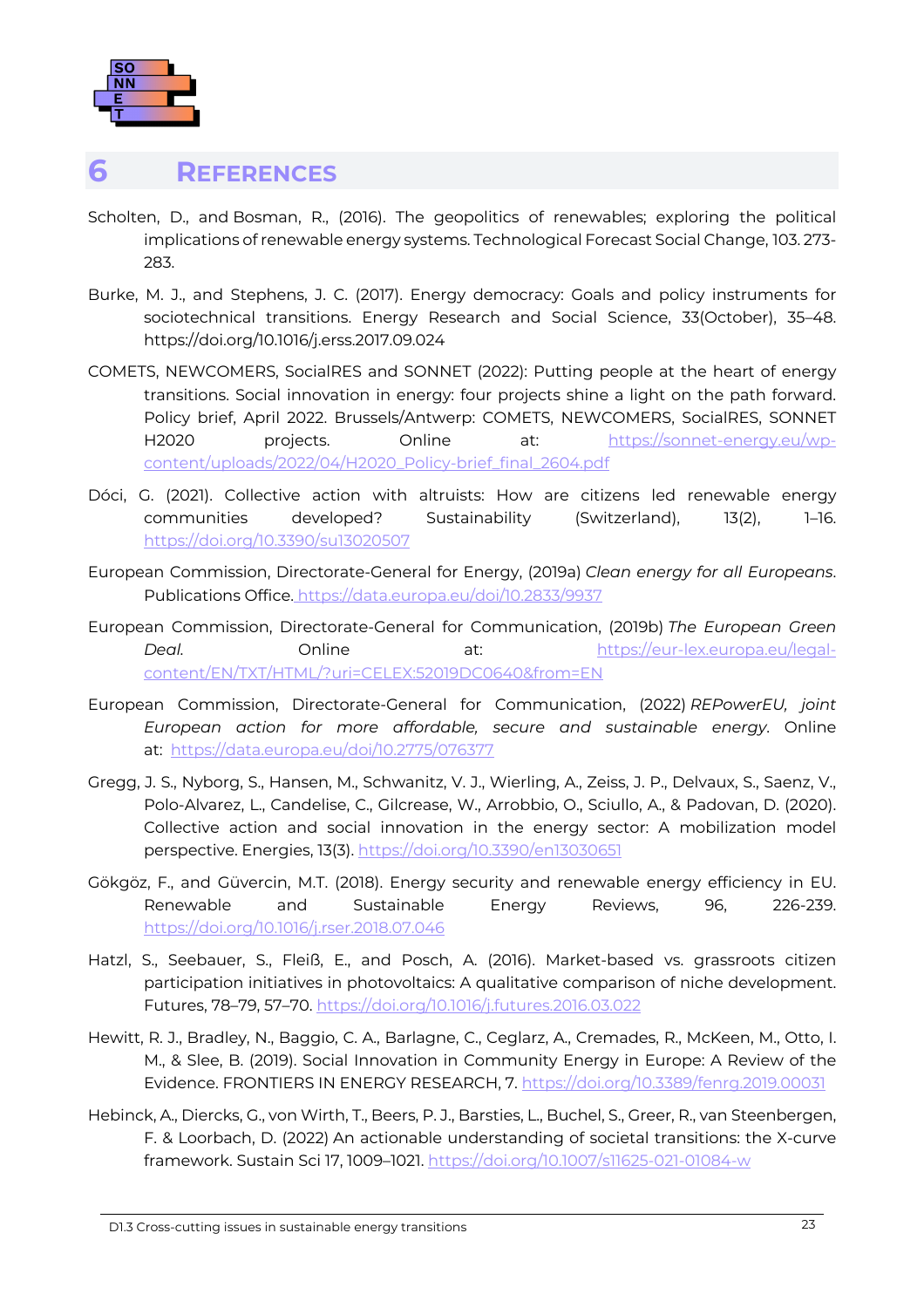

#### <span id="page-27-0"></span>**6 REFERENCES**

- Scholten, D., and Bosman, R., (2016). The geopolitics of renewables; exploring the political implications of renewable energy systems. Technological Forecast Social Change, 103. 273- 283.
- Burke, M. J., and Stephens, J. C. (2017). Energy democracy: Goals and policy instruments for sociotechnical transitions. Energy Research and Social Science, 33(October), 35–48. https://doi.org/10.1016/j.erss.2017.09.024
- COMETS, NEWCOMERS, SocialRES and SONNET (2022): Putting people at the heart of energy transitions. Social innovation in energy: four projects shine a light on the path forward. Policy brief, April 2022. Brussels/Antwerp: COMETS, NEWCOMERS, SocialRES, SONNET H2020 projects. Online at: [https://sonnet-energy.eu/wp](https://sonnet-energy.eu/wp-content/uploads/2022/04/H2020_Policy-brief_final_2604.pdf)[content/uploads/2022/04/H2020\\_Policy-brief\\_final\\_2604.pdf](https://sonnet-energy.eu/wp-content/uploads/2022/04/H2020_Policy-brief_final_2604.pdf)
- Dóci, G. (2021). Collective action with altruists: How are citizens led renewable energy communities developed? Sustainability (Switzerland), 13(2), 1–16. <https://doi.org/10.3390/su13020507>
- European Commission, Directorate-General for Energy, (2019a) *Clean energy for all Europeans*. Publications Office. <https://data.europa.eu/doi/10.2833/9937>
- European Commission, Directorate-General for Communication, (2019b) *The European Green*  **Deal. Conline at: Concerning at: [https://eur-lex.europa.eu/legal](https://eur-lex.europa.eu/legal-content/EN/TXT/HTML/?uri=CELEX:52019DC0640&from=EN)**[content/EN/TXT/HTML/?uri=CELEX:52019DC0640&from=EN](https://eur-lex.europa.eu/legal-content/EN/TXT/HTML/?uri=CELEX:52019DC0640&from=EN)
- European Commission, Directorate-General for Communication, (2022) *REPowerEU, joint European action for more affordable, secure and sustainable energy*. Online at: <https://data.europa.eu/doi/10.2775/076377>
- Gregg, J. S., Nyborg, S., Hansen, M., Schwanitz, V. J., Wierling, A., Zeiss, J. P., Delvaux, S., Saenz, V., Polo-Alvarez, L., Candelise, C., Gilcrease, W., Arrobbio, O., Sciullo, A., & Padovan, D. (2020). Collective action and social innovation in the energy sector: A mobilization model perspective. Energies, 13(3).<https://doi.org/10.3390/en13030651>
- Gökgöz, F., and Güvercin, M.T. (2018). Energy security and renewable energy efficiency in EU. Renewable and Sustainable Energy Reviews, 96, 226-239. <https://doi.org/10.1016/j.rser.2018.07.046>
- Hatzl, S., Seebauer, S., Fleiß, E., and Posch, A. (2016). Market-based vs. grassroots citizen participation initiatives in photovoltaics: A qualitative comparison of niche development. Futures, 78–79, 57–70. <https://doi.org/10.1016/j.futures.2016.03.022>
- Hewitt, R. J., Bradley, N., Baggio, C. A., Barlagne, C., Ceglarz, A., Cremades, R., McKeen, M., Otto, I. M., & Slee, B. (2019). Social Innovation in Community Energy in Europe: A Review of the Evidence. FRONTIERS IN ENERGY RESEARCH, 7.<https://doi.org/10.3389/fenrg.2019.00031>
- Hebinck, A., Diercks, G., von Wirth, T., Beers, P. J., Barsties, L., Buchel, S., Greer, R., van Steenbergen, F. & Loorbach, D. (2022) An actionable understanding of societal transitions: the X-curve framework. Sustain Sci 17, 1009–1021.<https://doi.org/10.1007/s11625-021-01084-w>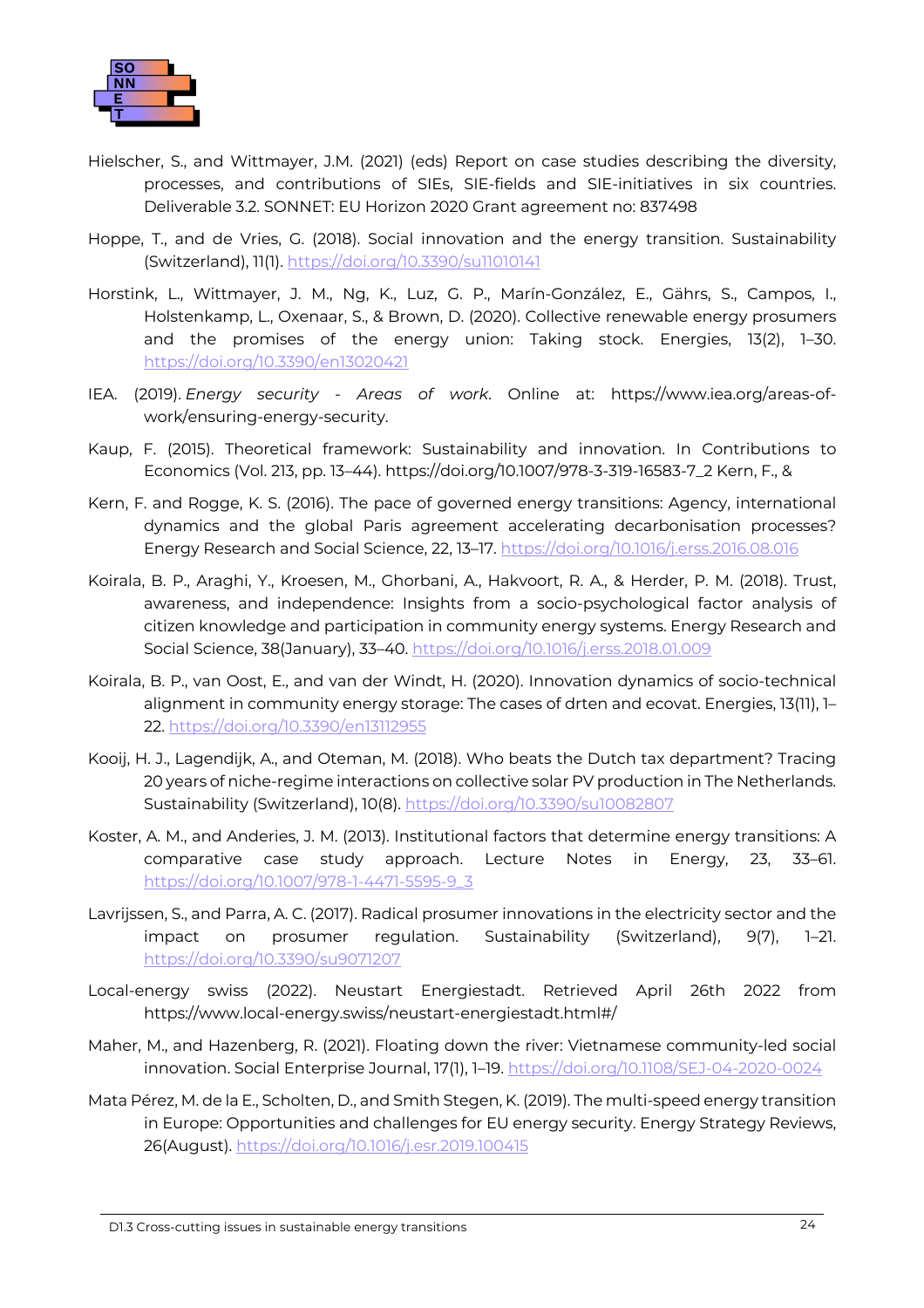

- Hielscher, S., and Wittmayer, J.M. (2021) (eds) Report on case studies describing the diversity, processes, and contributions of SIEs, SIE-fields and SIE-initiatives in six countries. Deliverable 3.2. SONNET: EU Horizon 2020 Grant agreement no: 837498
- Hoppe, T., and de Vries, G. (2018). Social innovation and the energy transition. Sustainability (Switzerland), 11(1).<https://doi.org/10.3390/su11010141>
- Horstink, L., Wittmayer, J. M., Ng, K., Luz, G. P., Marín-González, E., Gährs, S., Campos, I., Holstenkamp, L., Oxenaar, S., & Brown, D. (2020). Collective renewable energy prosumers and the promises of the energy union: Taking stock. Energies, 13(2), 1–30. <https://doi.org/10.3390/en13020421>
- IEA. (2019). *Energy security - Areas of work*. Online at: https://www.iea.org/areas-ofwork/ensuring-energy-security.
- Kaup, F. (2015). Theoretical framework: Sustainability and innovation. In Contributions to Economics (Vol. 213, pp. 13–44). https://doi.org/10.1007/978-3-319-16583-7\_2 Kern, F., &
- Kern, F. and Rogge, K. S. (2016). The pace of governed energy transitions: Agency, international dynamics and the global Paris agreement accelerating decarbonisation processes? Energy Research and Social Science, 22, 13–17.<https://doi.org/10.1016/j.erss.2016.08.016>
- Koirala, B. P., Araghi, Y., Kroesen, M., Ghorbani, A., Hakvoort, R. A., & Herder, P. M. (2018). Trust, awareness, and independence: Insights from a socio-psychological factor analysis of citizen knowledge and participation in community energy systems. Energy Research and Social Science, 38(January), 33–40.<https://doi.org/10.1016/j.erss.2018.01.009>
- Koirala, B. P., van Oost, E., and van der Windt, H. (2020). Innovation dynamics of socio-technical alignment in community energy storage: The cases of drten and ecovat. Energies, 13(11), 1– 22. <https://doi.org/10.3390/en13112955>
- Kooij, H. J., Lagendijk, A., and Oteman, M. (2018). Who beats the Dutch tax department? Tracing 20 years of niche-regime interactions on collective solar PV production in The Netherlands. Sustainability (Switzerland), 10(8). <https://doi.org/10.3390/su10082807>
- Koster, A. M., and Anderies, J. M. (2013). Institutional factors that determine energy transitions: A comparative case study approach. Lecture Notes in Energy, 23, 33–61. [https://doi.org/10.1007/978-1-4471-5595-9\\_3](https://doi.org/10.1007/978-1-4471-5595-9_3)
- Lavrijssen, S., and Parra, A. C. (2017). Radical prosumer innovations in the electricity sector and the impact on prosumer regulation. Sustainability (Switzerland), 9(7), 1–21. <https://doi.org/10.3390/su9071207>
- Local-energy swiss (2022). Neustart Energiestadt. Retrieved April 26th 2022 from <https://www.local-energy.swiss/neustart-energiestadt.html#/>
- Maher, M., and Hazenberg, R. (2021). Floating down the river: Vietnamese community-led social innovation. Social Enterprise Journal, 17(1), 1–19.<https://doi.org/10.1108/SEJ-04-2020-0024>
- Mata Pérez, M. de la E., Scholten, D., and Smith Stegen, K. (2019). The multi-speed energy transition in Europe: Opportunities and challenges for EU energy security. Energy Strategy Reviews, 26(August).<https://doi.org/10.1016/j.esr.2019.100415>

D1.3 Cross-cutting issues in sustainable energy transitions 24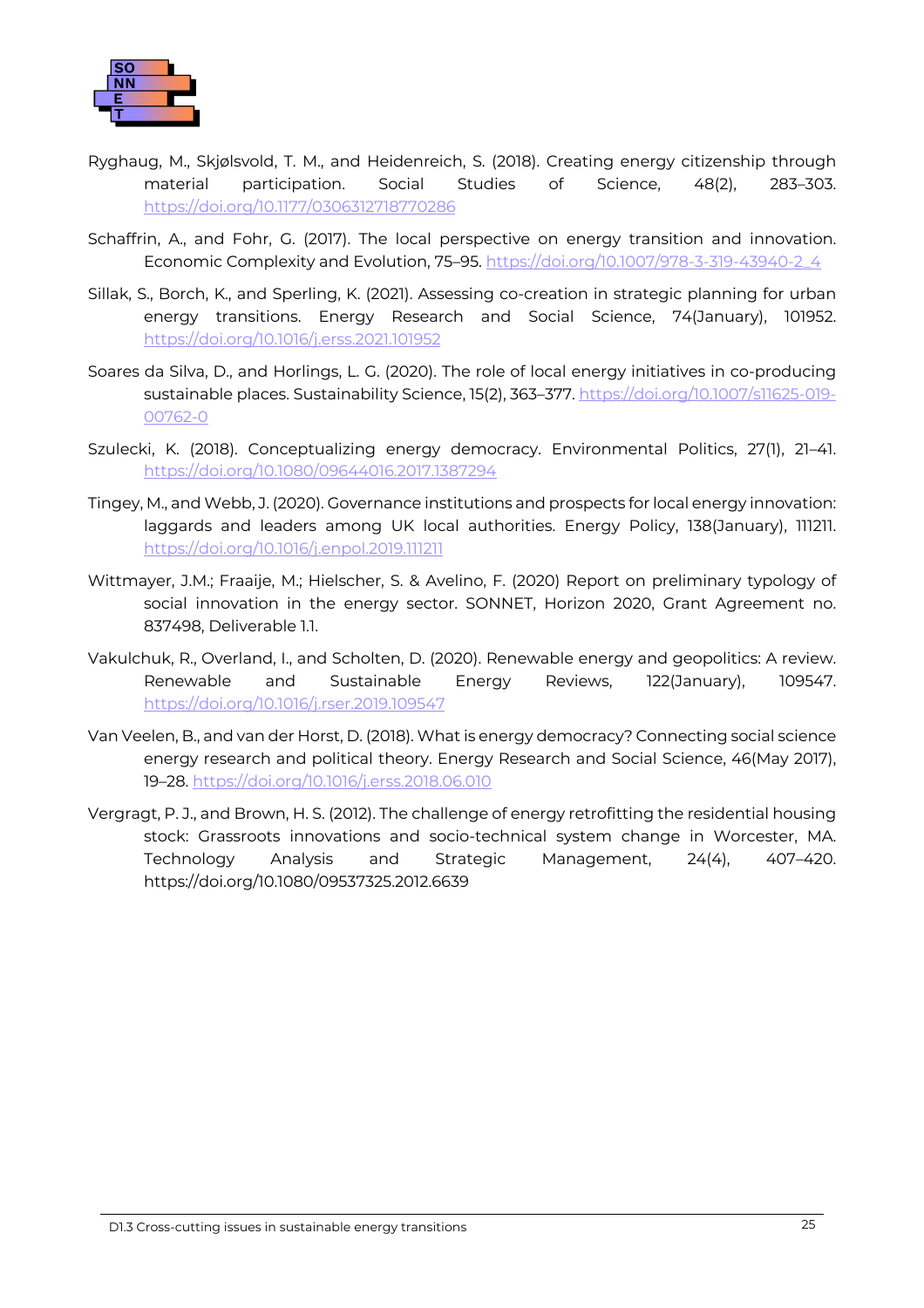

- Ryghaug, M., Skjølsvold, T. M., and Heidenreich, S. (2018). Creating energy citizenship through material participation. Social Studies of Science, 48(2), 283–303. <https://doi.org/10.1177/0306312718770286>
- Schaffrin, A., and Fohr, G. (2017). The local perspective on energy transition and innovation. Economic Complexity and Evolution, 75–95. [https://doi.org/10.1007/978-3-319-43940-2\\_4](https://doi.org/10.1007/978-3-319-43940-2_4)
- Sillak, S., Borch, K., and Sperling, K. (2021). Assessing co-creation in strategic planning for urban energy transitions. Energy Research and Social Science, 74(January), 101952. <https://doi.org/10.1016/j.erss.2021.101952>
- Soares da Silva, D., and Horlings, L. G. (2020). The role of local energy initiatives in co-producing sustainable places. Sustainability Science, 15(2), 363–377. [https://doi.org/10.1007/s11625-019-](https://doi.org/10.1007/s11625-019-00762-0) [00762-0](https://doi.org/10.1007/s11625-019-00762-0)
- Szulecki, K. (2018). Conceptualizing energy democracy. Environmental Politics, 27(1), 21–41. <https://doi.org/10.1080/09644016.2017.1387294>
- Tingey, M., and Webb, J. (2020). Governance institutions and prospects for local energy innovation: laggards and leaders among UK local authorities. Energy Policy, 138(January), 111211. <https://doi.org/10.1016/j.enpol.2019.111211>
- Wittmayer, J.M.; Fraaije, M.; Hielscher, S. & Avelino, F. (2020) Report on preliminary typology of social innovation in the energy sector. SONNET, Horizon 2020, Grant Agreement no. 837498, Deliverable 1.1.
- Vakulchuk, R., Overland, I., and Scholten, D. (2020). Renewable energy and geopolitics: A review. Renewable and Sustainable Energy Reviews, 122(January), 109547. <https://doi.org/10.1016/j.rser.2019.109547>
- Van Veelen, B., and van der Horst, D. (2018). What is energy democracy? Connecting social science energy research and political theory. Energy Research and Social Science, 46(May 2017), 19–28.<https://doi.org/10.1016/j.erss.2018.06.010>
- Vergragt, P. J., and Brown, H. S. (2012). The challenge of energy retrofitting the residential housing stock: Grassroots innovations and socio-technical system change in Worcester, MA. Technology Analysis and Strategic Management, 24(4), 407–420. https://doi.org/10.1080/09537325.2012.6639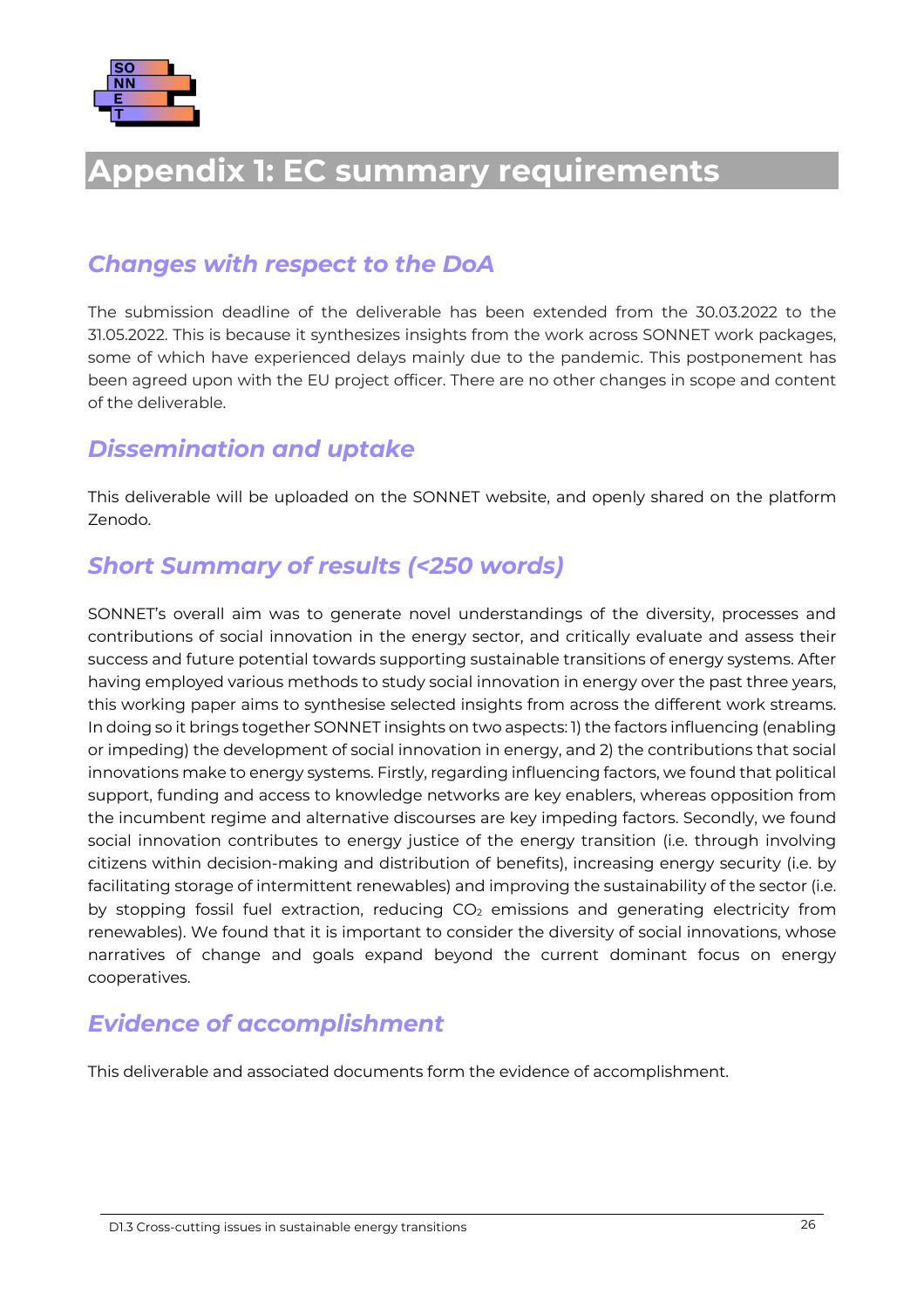

# <span id="page-30-0"></span>**Appendix 1: EC summary requirements**

#### *Changes with respect to the DoA*

The submission deadline of the deliverable has been extended from the 30.03.2022 to the 31.05.2022. This is because it synthesizes insights from the work across SONNET work packages, some of which have experienced delays mainly due to the pandemic. This postponement has been agreed upon with the EU project officer. There are no other changes in scope and content of the deliverable.

#### *Dissemination and uptake*

This deliverable will be uploaded on the SONNET website, and openly shared on the platform Zenodo.

#### *Short Summary of results (<250 words)*

SONNET's overall aim was to generate novel understandings of the diversity, processes and contributions of social innovation in the energy sector, and critically evaluate and assess their success and future potential towards supporting sustainable transitions of energy systems. After having employed various methods to study social innovation in energy over the past three years, this working paper aims to synthesise selected insights from across the different work streams. In doing so it brings together SONNET insights on two aspects: 1) the factors influencing (enabling or impeding) the development of social innovation in energy, and 2) the contributions that social innovations make to energy systems. Firstly, regarding influencing factors, we found that political support, funding and access to knowledge networks are key enablers, whereas opposition from the incumbent regime and alternative discourses are key impeding factors. Secondly, we found social innovation contributes to energy justice of the energy transition (i.e. through involving citizens within decision-making and distribution of benefits), increasing energy security (i.e. by facilitating storage of intermittent renewables) and improving the sustainability of the sector (i.e. by stopping fossil fuel extraction, reducing  $CO<sub>2</sub>$  emissions and generating electricity from renewables). We found that it is important to consider the diversity of social innovations, whose narratives of change and goals expand beyond the current dominant focus on energy cooperatives.

### *Evidence of accomplishment*

This deliverable and associated documents form the evidence of accomplishment.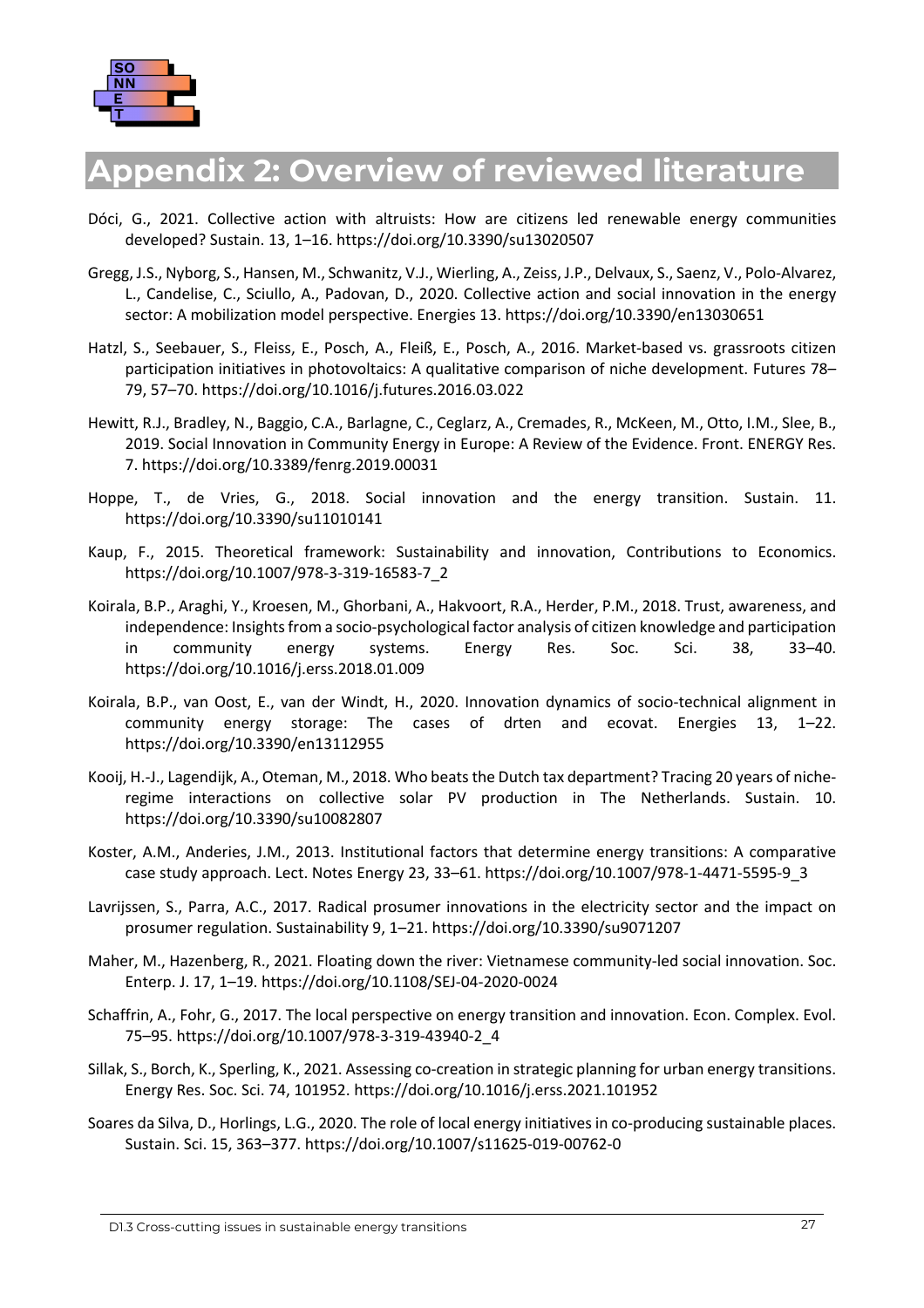

# <span id="page-31-0"></span>**Appendix 2: Overview of reviewed literature**

- Dóci, G., 2021. Collective action with altruists: How are citizens led renewable energy communities developed? Sustain. 13, 1–16. https://doi.org/10.3390/su13020507
- Gregg, J.S., Nyborg, S., Hansen, M., Schwanitz, V.J., Wierling, A., Zeiss, J.P., Delvaux, S., Saenz, V., Polo-Alvarez, L., Candelise, C., Sciullo, A., Padovan, D., 2020. Collective action and social innovation in the energy sector: A mobilization model perspective. Energies 13. https://doi.org/10.3390/en13030651
- Hatzl, S., Seebauer, S., Fleiss, E., Posch, A., Fleiß, E., Posch, A., 2016. Market-based vs. grassroots citizen participation initiatives in photovoltaics: A qualitative comparison of niche development. Futures 78– 79, 57–70. https://doi.org/10.1016/j.futures.2016.03.022
- Hewitt, R.J., Bradley, N., Baggio, C.A., Barlagne, C., Ceglarz, A., Cremades, R., McKeen, M., Otto, I.M., Slee, B., 2019. Social Innovation in Community Energy in Europe: A Review of the Evidence. Front. ENERGY Res. 7. https://doi.org/10.3389/fenrg.2019.00031
- Hoppe, T., de Vries, G., 2018. Social innovation and the energy transition. Sustain. 11. https://doi.org/10.3390/su11010141
- Kaup, F., 2015. Theoretical framework: Sustainability and innovation, Contributions to Economics. https://doi.org/10.1007/978-3-319-16583-7\_2
- Koirala, B.P., Araghi, Y., Kroesen, M., Ghorbani, A., Hakvoort, R.A., Herder, P.M., 2018. Trust, awareness, and independence: Insights from a socio-psychological factor analysis of citizen knowledge and participation in community energy systems. Energy Res. Soc. Sci. 38, 33–40. https://doi.org/10.1016/j.erss.2018.01.009
- Koirala, B.P., van Oost, E., van der Windt, H., 2020. Innovation dynamics of socio-technical alignment in community energy storage: The cases of drten and ecovat. Energies 13, 1–22. https://doi.org/10.3390/en13112955
- Kooij, H.-J., Lagendijk, A., Oteman, M., 2018. Who beats the Dutch tax department? Tracing 20 years of nicheregime interactions on collective solar PV production in The Netherlands. Sustain. 10. https://doi.org/10.3390/su10082807
- Koster, A.M., Anderies, J.M., 2013. Institutional factors that determine energy transitions: A comparative case study approach. Lect. Notes Energy 23, 33–61. https://doi.org/10.1007/978-1-4471-5595-9\_3
- Lavrijssen, S., Parra, A.C., 2017. Radical prosumer innovations in the electricity sector and the impact on prosumer regulation. Sustainability 9, 1–21. https://doi.org/10.3390/su9071207
- Maher, M., Hazenberg, R., 2021. Floating down the river: Vietnamese community-led social innovation. Soc. Enterp. J. 17, 1–19. https://doi.org/10.1108/SEJ-04-2020-0024
- Schaffrin, A., Fohr, G., 2017. The local perspective on energy transition and innovation. Econ. Complex. Evol. 75–95. https://doi.org/10.1007/978-3-319-43940-2\_4
- Sillak, S., Borch, K., Sperling, K., 2021. Assessing co-creation in strategic planning for urban energy transitions. Energy Res. Soc. Sci. 74, 101952. https://doi.org/10.1016/j.erss.2021.101952
- Soares da Silva, D., Horlings, L.G., 2020. The role of local energy initiatives in co-producing sustainable places. Sustain. Sci. 15, 363–377. https://doi.org/10.1007/s11625-019-00762-0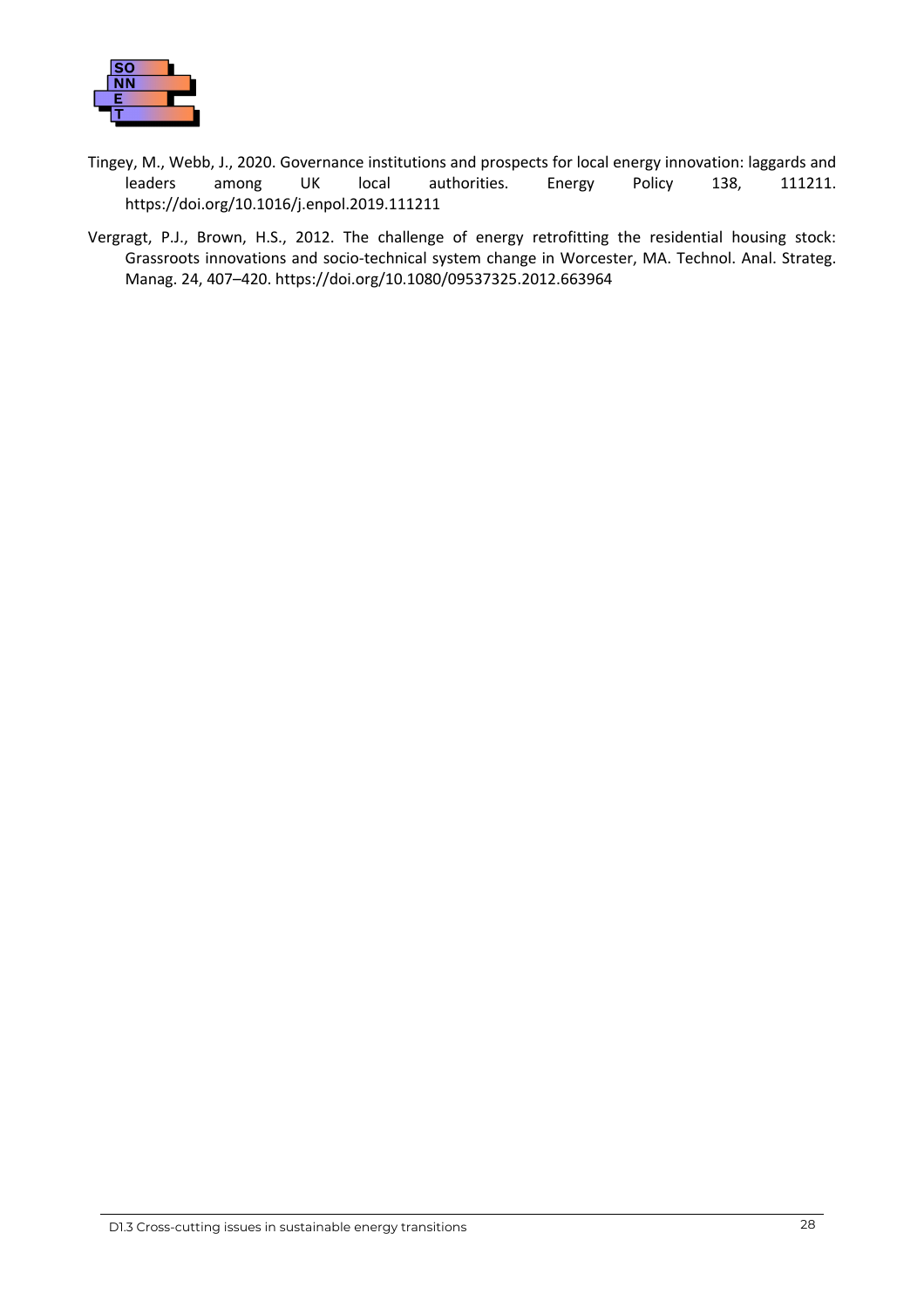

- Tingey, M., Webb, J., 2020. Governance institutions and prospects for local energy innovation: laggards and leaders among UK local authorities. Energy Policy 138, 111211. https://doi.org/10.1016/j.enpol.2019.111211
- Vergragt, P.J., Brown, H.S., 2012. The challenge of energy retrofitting the residential housing stock: Grassroots innovations and socio-technical system change in Worcester, MA. Technol. Anal. Strateg. Manag. 24, 407–420. https://doi.org/10.1080/09537325.2012.663964